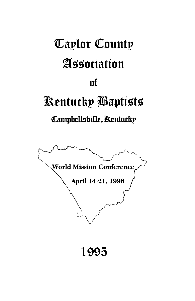# **Taplor County** Association nf Kentucky Baptists Campbellsville, Rentucky **World Mission Conference** April 14-21, 1996 1995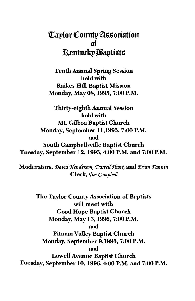### **Taplor County Association** of **Rentucky Baptists**

**Tenth Annual Spring Session** held with **Raikes Hill Baptist Mission** Monday, May 08, 1995, 7:00 P.M.

**Thirty-eighth Annual Session** held with Mt. Gilboa Baptist Church Monday, September 11, 1995, 7:00 P.M. and South Campbellsville Baptist Church Tuesday, September 12, 1995, 4:00 P.M. and 7:00 P.M.

Moderators, David Henderson, Darrell Hunt, and Brian Fannin Clerk, *Jim Campbell* 

The Taylor County Association of Baptists will meet with **Good Hope Baptist Church** Monday, May 13, 1996, 7:00 P.M. and **Pitman Valley Baptist Church** Monday, September 9,1996, 7:00 P.M. and **Lowell Avenue Baptist Church** Tuesday, September 10, 1996, 4:00 P.M. and 7:00 P.M.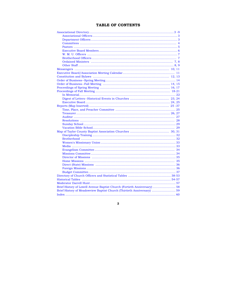### TABLE OF CONTENTS

| Brief History of Lowell Avenue Baptist Church (Fortieth Anniversary)  58 |  |
|--------------------------------------------------------------------------|--|
| Brief History of Meadowview Baptist Church (Thirtieth Anniversary)  59   |  |
|                                                                          |  |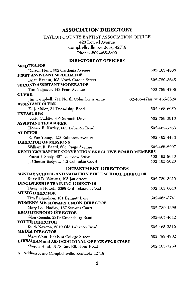### **ASSOCIATION DIRECTORY**

### TAYLOR COUNTY BAPTIST ASSOCIATION OFFICE 420 Lowell Avenue Campbellsville, Kentucky 42718 Phone--502-465-5600

### **DIRECTORY OF OFFICERS**

| <b>MODERATOR</b>                                                  |                          |
|-------------------------------------------------------------------|--------------------------|
| Darrell Hunt, 902 Gardenia Avenue                                 | 502-465-4808             |
| <b>FIRST ASSISTANT MODERATOR</b>                                  |                          |
| Brian Fannin, 103 North Carden Street                             | 502-789-3645             |
| <b>SECOND ASSISTANT MODERATOR</b>                                 |                          |
| Tim Najpaver, 143 Pearl Avenue                                    | 502-789-4708             |
| <b>CLERK</b>                                                      |                          |
| Jim Campbell, 711 North Columbia Avenue<br><b>ASSISTANT CLERK</b> | 502-465-4744 or 465-8820 |
| K. J. Miller, 31 Friendship Road                                  | 502-465-6050             |
| <b>TREASURER</b>                                                  |                          |
| David Gaddie, 305 Summit Drive                                    | 502-789-2913             |
| <b>ASSISTANT TREASURER</b>                                        |                          |
| Homer R. Kirtley, 905 Lebanon Road                                | 502-465-5763             |
| <b>AUDITOR</b>                                                    |                          |
| E. Poe Young, 320 Robinson Avenue                                 | 502-465-4443             |
| <b>DIRECTOR OF MISSIONS</b>                                       |                          |
| William R. Beard, 605 Osage Avenue                                | 502-465-2297             |
| KENTUCKY BAPTIST CONVENTION EXECUTIVE BOARD MEMBERS               |                          |
| Forest F Shely, 407 Lakeview Drive                                | 502-465-8643             |
| J. Chester Badgett, 112 Columbia Court                            | 502-465-5023             |
| <b>DEPARTMENT DIRECTORS</b>                                       |                          |
| SUNDAY SCHOOL AND VACATION BIBLE SCHOOL DIRECTOR                  |                          |
| Russell D. Watkins, 195 Jan Street                                | 502-789-3615             |
| <b>DISCIPLESHIP TRAINING DIRECTOR</b>                             |                          |
| Dwayne Howell, 6398 Old Lebanon Road                              | 502-465-6643             |
| <b>MUSIC DIRECTOR</b>                                             |                          |
| Tim Richardson, 101 Bennett Lane                                  | 502-465-3741             |
| WOMEN'S MISSIONARY UNION DIRECTOR                                 |                          |
| Mary Lou Hadley, 157 Stevens Court                                | 502-789-1399             |
| <b>BROTHERHOOD DIRECTOR</b>                                       |                          |
| Glen Canada, 2319 Greensburg Road                                 | 502-465-4042             |
| YOUTH DIRECTOR                                                    |                          |
| Keith Newton, 6010 Old Lebanon Road                               | 502-465-3310             |
| <b>MEDIA DIRECTOR</b>                                             |                          |
| Marc Whitt, 109 East College Street                               | 502-789-4932             |
| LIBRARIAN and ASSOCIATIONAL OFFICE SECRETARY                      |                          |
| Sharon Hunt, 3175 East Elk Horn Road                              | 502-465-7260             |
| AN ALLA                                                           |                          |

All Addresses are Campbellsville, Kentucky 42718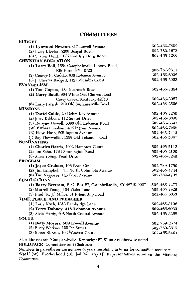### **COMMITTEES**

| <b>BUDGET</b>                                                  |              |
|----------------------------------------------------------------|--------------|
| (1) Lynwood Newton, 417 Lowell Avenue                          | 502-465-7652 |
| (2) Barry Blevins, 5200 Bengal Road                            | 502-789-1673 |
| (3) Sharon Hunt, 3175 East Elk Horn Road                       | 502-465-7260 |
| <b>CHRISTIAN EDUCATION</b>                                     |              |
| (1) Larry Bell, 1554 Campbellsville Liberty Road,              |              |
| Elk Horn, KY 42723                                             | 606-787-9611 |
| (2) George R. Gaddie, 636 Lebanon Avenue                       | 502-465-6002 |
| (3) J. Chester Badgett, 112 Columbia Court                     | 502-465-5023 |
| <b>EVANGELISM</b>                                              |              |
| (1) Tom Gupton, 484 Beartrack Road                             | 502-465-7394 |
| (2) Garry Bault, 904 White Oak Church Road                     |              |
| Casey Creek, Kentucky 42743                                    | 502-465-3927 |
| (3) Larry Parrish, 210 Old Summersville Road                   | 502-465-2506 |
| <b>MISSIONS</b>                                                |              |
| (1) David Cable, 29 Debra Kay Avenue                           | 502-465-2250 |
| (2) Jerry Kibbons, 112 Sunset Drive                            | 502-465-8098 |
| (3) Dwayne Howell, 6398 Old Lebanon Road                       | 502-465-6643 |
| (W) Barbara Graham, 405 Ingram Avenue                          | 502-465-7255 |
| (B) Floyd Hash, 205 Ingram Avenue                              | 502-465-7412 |
| (J) Ray Flewwellin, 1398 Old Lebanon Road                      | 502-465-5097 |
| <b>NOMINATING</b>                                              |              |
| (1) Charles Harris, 1002 Hampton Court                         | 502-465-5113 |
| (2) Jim Sabo, 1784 Spurlington Road                            | 502-465-4100 |
| (3) Allen Young, Pearl Drive                                   | 502-465-8249 |
| <b>PROGRAM</b>                                                 |              |
| (1) Joyce Graham, 106 Pearl Circle                             | 502-789-1750 |
| (2) Jim Campbell, 711 North Columbia Avenue                    | 502-465-4744 |
| (3) Tim Najpaver, 143 Pearl Avenue                             | 502-789-4708 |
| <b>RESOLUTIONS</b>                                             |              |
| (1) Barry Bertram, P. O. Box 27, Campbellsville, KY 42719-0027 | 502-465-7273 |
| (2) Murrell Young, 104 Violet Lane                             | 502-465-7929 |
| (3) Fred "K. J." Miller, 31 Friendship Road                    | 502-465 6050 |
| TIME, PLACE, AND PREACHER                                      |              |
| (1) Larry Koch, 1313 Bambridge Lane                            | 502-465-3106 |
| (2) Terry Dabney, 418 Lebanon Avenue                           | 502-465-2933 |
| (3) Alvin Hardy, 608 North Central Avenue                      | 502-465-3268 |
| YOUTH                                                          |              |
| (1) Betty Moyers, 509 Lowell Avenue                            | 502-789-2674 |
| (2) Rusty Watkins, 195 Jan Street                              | 502-789-3615 |
| (3) Susan Blevins, 103 Windsor Court                           | 502-465-5401 |
|                                                                |              |

All Addresses are "Campbellsville, Kentucky 42718" unless otherwise noted.

**BOLDFACE--Committees and Chairmen** 

Numbers in parentheses are number of years remaining in terms for committee members.<br>WMU (W), Brotherhood (B), Jail Ministry (J) Representatives serve on the Missions

Committee.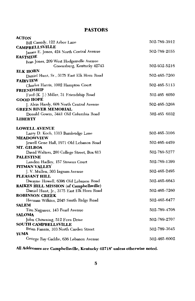### **PASTORS**

| ACTON                                                                                                                                                                                                                                                                                                                                                                                                                                                                                                                                        |                                                                                                              |
|----------------------------------------------------------------------------------------------------------------------------------------------------------------------------------------------------------------------------------------------------------------------------------------------------------------------------------------------------------------------------------------------------------------------------------------------------------------------------------------------------------------------------------------------|--------------------------------------------------------------------------------------------------------------|
| Bill Cassidy, 122 Arbor Lane                                                                                                                                                                                                                                                                                                                                                                                                                                                                                                                 | 502-789-3912                                                                                                 |
| <b>CAMPBELLSVILLE</b>                                                                                                                                                                                                                                                                                                                                                                                                                                                                                                                        |                                                                                                              |
| James E. Jones, 424 North Central Avenue                                                                                                                                                                                                                                                                                                                                                                                                                                                                                                     | 502-789-2055                                                                                                 |
| <b>EASTSIDE</b>                                                                                                                                                                                                                                                                                                                                                                                                                                                                                                                              |                                                                                                              |
| Ivan Jones, 209 West Hodgenville Avenue                                                                                                                                                                                                                                                                                                                                                                                                                                                                                                      |                                                                                                              |
| Greensburg, Kentucky 42743                                                                                                                                                                                                                                                                                                                                                                                                                                                                                                                   | 502-932-5216                                                                                                 |
| <b>ELK HORN</b>                                                                                                                                                                                                                                                                                                                                                                                                                                                                                                                              | 502-465-7260                                                                                                 |
| Daniel Hunt, Sr., 3175 East Elk Horn Road<br><b>FAIRVIEW</b>                                                                                                                                                                                                                                                                                                                                                                                                                                                                                 |                                                                                                              |
| Charles Harris, 1002 Hampton Court                                                                                                                                                                                                                                                                                                                                                                                                                                                                                                           | 502-465-5113                                                                                                 |
| <b>FRIENDSHIP</b>                                                                                                                                                                                                                                                                                                                                                                                                                                                                                                                            |                                                                                                              |
| Fred (K. J.) Miller, 31 Friendship Road                                                                                                                                                                                                                                                                                                                                                                                                                                                                                                      | 502-465 6050                                                                                                 |
| <b>GOOD HOPE</b>                                                                                                                                                                                                                                                                                                                                                                                                                                                                                                                             |                                                                                                              |
| J. Alvin Hardy, 608 North Central Avenue                                                                                                                                                                                                                                                                                                                                                                                                                                                                                                     | 502-465-3268                                                                                                 |
| <b>GREEN RIVER MEMORIAL</b>                                                                                                                                                                                                                                                                                                                                                                                                                                                                                                                  |                                                                                                              |
| Donald Gowin, 3441 Old Columbia Road                                                                                                                                                                                                                                                                                                                                                                                                                                                                                                         | 502-465 6032                                                                                                 |
| <b>LIBERTY</b>                                                                                                                                                                                                                                                                                                                                                                                                                                                                                                                               |                                                                                                              |
|                                                                                                                                                                                                                                                                                                                                                                                                                                                                                                                                              |                                                                                                              |
| <b>LOWELL AVENUE</b>                                                                                                                                                                                                                                                                                                                                                                                                                                                                                                                         |                                                                                                              |
| Larry D. Koch, 1313 Bambridge Lane                                                                                                                                                                                                                                                                                                                                                                                                                                                                                                           | 502-465-3106                                                                                                 |
|                                                                                                                                                                                                                                                                                                                                                                                                                                                                                                                                              |                                                                                                              |
|                                                                                                                                                                                                                                                                                                                                                                                                                                                                                                                                              |                                                                                                              |
|                                                                                                                                                                                                                                                                                                                                                                                                                                                                                                                                              |                                                                                                              |
| <b>PALESTINE</b>                                                                                                                                                                                                                                                                                                                                                                                                                                                                                                                             |                                                                                                              |
|                                                                                                                                                                                                                                                                                                                                                                                                                                                                                                                                              | 502-789-1399                                                                                                 |
| PITMAN VALLEY                                                                                                                                                                                                                                                                                                                                                                                                                                                                                                                                |                                                                                                              |
|                                                                                                                                                                                                                                                                                                                                                                                                                                                                                                                                              | 502-465-2495                                                                                                 |
| PLEASANT HILL                                                                                                                                                                                                                                                                                                                                                                                                                                                                                                                                |                                                                                                              |
| Dwayne Howell, 6398 Old Lebanon Road                                                                                                                                                                                                                                                                                                                                                                                                                                                                                                         | 502-465-6643                                                                                                 |
|                                                                                                                                                                                                                                                                                                                                                                                                                                                                                                                                              |                                                                                                              |
|                                                                                                                                                                                                                                                                                                                                                                                                                                                                                                                                              |                                                                                                              |
|                                                                                                                                                                                                                                                                                                                                                                                                                                                                                                                                              |                                                                                                              |
|                                                                                                                                                                                                                                                                                                                                                                                                                                                                                                                                              |                                                                                                              |
|                                                                                                                                                                                                                                                                                                                                                                                                                                                                                                                                              |                                                                                                              |
|                                                                                                                                                                                                                                                                                                                                                                                                                                                                                                                                              |                                                                                                              |
|                                                                                                                                                                                                                                                                                                                                                                                                                                                                                                                                              |                                                                                                              |
|                                                                                                                                                                                                                                                                                                                                                                                                                                                                                                                                              |                                                                                                              |
|                                                                                                                                                                                                                                                                                                                                                                                                                                                                                                                                              |                                                                                                              |
| YUMA                                                                                                                                                                                                                                                                                                                                                                                                                                                                                                                                         |                                                                                                              |
| George Ray Gaddie, 636 Lebanon Avenue                                                                                                                                                                                                                                                                                                                                                                                                                                                                                                        | 502-465-6002                                                                                                 |
| <b>MEADOWVIEW</b><br>Jewell Gene Hall, 1971 Old Lebanon Road<br>MT. GILBOA<br>David Walters, 200 College Street, Box 813<br>Landon Hadley, 157 Stevens Court<br>J. V. Mullen, 303 Ingram Avenue<br><b>RAIKES HILL MISSION (of Campbellsville)</b><br>Daniel Hunt, Jr., 3175 East Elk Horn Road<br><b>ROBINSON CREEK</b><br>Herman Wilkins, 2645 Smith Ridge Road<br><b>SALEM</b><br>Tim Najpaver, 143 Pearl Avenue<br><b>SALOMA</b><br>John Chowning, 512 Fern Drive<br><b>SOUTH CAMPBELLSVILLE</b><br>Brian Fannin, 103 North Carden Street | 502-465-4459<br>502-789-5277<br>502-465-7260<br>502-465-6477<br>502-789-4708<br>502-789-2707<br>502-789-3645 |

### All Addresses are Campbellsville, Kentucky 42718" unless otherwise noted.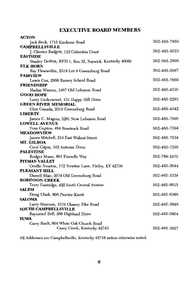### **EXECUTIVE BOARD MEMBERS**

 $\sim$   $\sim$   $\sim$ 

| ACION                                                                     |              |
|---------------------------------------------------------------------------|--------------|
| Jack Beck, 1715 Kindness Road                                             | 502-465-7856 |
| <b>CAMPBELLSVILLE</b>                                                     |              |
| J. Chester Badgett, 112 Columbia Court                                    | 502-465-5023 |
| <b>EASTSIDE</b>                                                           | 502-692-2806 |
| Stanley DeWitt, RFD 1, Box 32, Raywick, Kentucky 40060<br><b>ELK HORN</b> |              |
| Ray Flewwellin, 2319 Lot 4 Greensburg Road                                | 502-465-5097 |
| <b>FAIRVIEW</b>                                                           |              |
| Lewis Cox, 2868 Barney School Road                                        | 502-465-7869 |
| <b>FRIENDSHIP</b>                                                         |              |
| Harlan Warren, 1467 Old Lebanon Road                                      | 502-465-4530 |
| <b>GOOD HOPE</b>                                                          |              |
| Larry Underwood, 131 Happy Hill Drive                                     | 502-465-2293 |
| <b>GREEN RIVER MEMORIAL</b>                                               |              |
| Glen Canada, 2319 Greensburg Road                                         | 502-465-4042 |
| <b>LIBERTY</b>                                                            |              |
| James C. Magers, 3281 New Lebanon Road                                    | 502-465-7900 |
| <b>LOWELL AVENUE</b>                                                      |              |
| Tom Gupton. 484 Beartrack Road<br><b>MEADOWVIEW</b>                       | 502-465-7394 |
| James Mitchell, 214 East Walnut Street                                    | 502-465-7534 |
| MT. GILBOA                                                                |              |
| Cecil Gilpin, 102 Autumn Drive                                            | 502-465-7356 |
| PALESTINE                                                                 |              |
| Rodger Mann, 801 Friendly Way                                             | 502-789-2470 |
| PITMAN VALLEY                                                             |              |
| Orville Newton, 172 Newton Lane, Finley, KY 42736                         | 502-465-3844 |
| <b>PLEASANT HILL</b>                                                      |              |
| Darrell Blair, 2074 Old Greensburg Road<br><b>ROBINSON CREEK</b>          | 502-465-3334 |
|                                                                           |              |
| Terry Eastridge, 422 South Central Avenue<br><b>SALEM</b>                 | 502-465-6815 |
| Doug Clark, 806 Proctor-Knott                                             | 502-465-6386 |
| <b>SALOMA</b>                                                             |              |
| Larry Marcum, 1019 Chaney Pike Road                                       | 502-465-3946 |
| <b>SOUTH CAMPBELLSVILLE</b>                                               |              |
| Raymond Bell, 268 Highland Drive                                          | 502-465-5904 |
| YUMA                                                                      |              |
| Garry Bault, 904 White Oak Church Road                                    |              |
| Casey Creek, Kentucky 42743                                               | 502-465-3927 |
|                                                                           |              |

All Addresses are Campbellsville, Kentucky 42718 unless otherwise noted.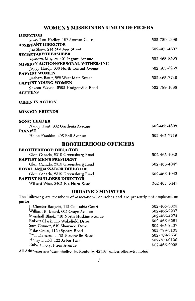### **WOMEN'S MISSIONARY UNION OFFICERS**

| <b>DIRECTOR</b>                           |              |
|-------------------------------------------|--------------|
| Mary Lou Hadley, 157 Stevens Court        | 502-789-1399 |
| <b>ASSISTANT DIRECTOR</b>                 |              |
| I iz Shaw, 214 Matthew Street             | 502-465-4697 |
| <b>SECRETARY/TREASURER</b>                |              |
| Marietta Moyers. 401 Ingram Avenue        | 502-465-8505 |
| <b>MISSION ACTION/PERSONAL WITNESSING</b> |              |
| Peggy Hardy, 608 North Central Avenue     | 502-465-3268 |
| <b>BAPTIST WOMEN</b>                      |              |
| Barbara Bault, 828 West Main Street       | 502-465-7740 |
| <b>BAPTIST YOUNG WOMEN</b>                |              |
| Sharon Wayne, 6502 Hodgenville Road       | 502-789-1088 |
| <b>ACTEENS</b>                            |              |
| <b>GIRLS IN ACTION</b>                    |              |
| <b>MISSION FRIENDS</b>                    |              |
| SONC LEADER                               |              |

| Nancy Hunt, 902 Gardenia Avenue | 502-465-4808 |
|---------------------------------|--------------|
| <b>PIANIST</b>                  |              |
| Helen Franklin, 405 Bell Avenue | 502-465-7719 |

### **BROTHERHOOD OFFICERS**

| <b>BROTHERHOOD DIRECTOR</b>       |              |
|-----------------------------------|--------------|
| Glen Canada, 2319 Greensburg Road | 502-465-4042 |
| <b>BAPTIST MEN'S PRESIDENT</b>    |              |
| Glen Canada, 2319 Greensburg Road | 502-465-4042 |
| <b>ROYAL AMBASSADOR DIRECTOR</b>  |              |
| Glen Canada, 2319 Greensburg Road | 502-465-4042 |
| <b>BAPTIST BUILDERS DIRECTOR</b>  |              |
| Willard Wise, 3405 Elk Horn Road  | 502-465 5443 |
|                                   |              |

### **ORDAINED MINISTERS**

The following are members of associational churches and are presently not employed as pastor.

| J. Chester Badgett, 112 Columbia Court   | 502-465-5023 |
|------------------------------------------|--------------|
| William R. Beard, 605 Osage Avenue       | 502-465-2297 |
| Marshall Black, 710 North Hoskins Avenue | 502-465-4274 |
| Robert Clark, 115 Wakefield Drive        | 502-465-6261 |
| Sam Conner, 619 Shawnee Drive            | 502-465-8437 |
| Mike Crain, 1129 Spears Road             | 502-789-3103 |
| Paul Dameron, 175 Roachville Road        | 502-789-2556 |
| Henry David, 122 Arbor Lane              | 502-789-0100 |
| Robert Doty, Risen Avenue                | 502-465-2008 |
|                                          |              |

All Addresses are "Campbellsville, Kentucky 42718" unless otherwise noted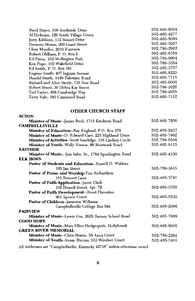| Buell Hayes, 106 Southside Drive       | 502-465-8594 |
|----------------------------------------|--------------|
| Al Hickman, 125 South Village Green    | 502-465-4277 |
| Jerry Kibbons, 112 Sunset Drive        | 502-465-8089 |
| Drewrey Meece, 309 Grant Street        | 502-465-5927 |
| Chris Mueller, 2010 Fairview           | 502-789-2902 |
| Robert Oldham, P. O. Box 5             | 502-465-6759 |
| Ed Pavey, 102 Wellington Park          | 502-789-0604 |
| Ken Pope, 102 Wakefield Drive          | 502-789-3354 |
| Ed Smith, P. O. Box 381                | 502-465-3757 |
| Eugene Smith, 407 Ingram Avenue        | 502-465-8220 |
| Harold Smith, 1449 Palestine Road      | 502-465-7715 |
| Richard and Alice Steele, 133 Noe Road | 502-465-6009 |
| Robert Street, 30 Debra Kay Street     | 502-789-1620 |
| Ted Taylor, 488 Cambridge Way          | 502-789-4958 |
| Terry Vale, 383 Cainwood Road          | 502-465-7112 |
|                                        |              |

### **OTHER CHURCH STAFF**

 $\overline{M}$ 

| 11.11                                                        |              |
|--------------------------------------------------------------|--------------|
| Minister of Music--Jamie Beck, 1715 Kindness Road            | 502-465-7856 |
| <b>CAMPBELLSVILLE</b>                                        |              |
| Minister of Education--Ray England, P.O. Box 279             | 502-465-2437 |
| Minister of Music--D. Edward Garr, 225 Highland Drive        | 502-465-7462 |
| Minister of Activities--Scott Sandidge, 116 Lindsey Circle   | 502-789-5508 |
| Minister of Youth--Wally Vinson, 99 Beartrack Road           | 502-465-8115 |
| <b>EASTSIDE</b>                                              |              |
| Minister of Music,--Jim Sabo, Sr., 1784 Spurlington Road     | 502-465-4100 |
| <b>ELK HORN</b>                                              |              |
| Pastor of Students and Education--Russell D. Watkins         |              |
| 195 Jan Street                                               | 502-789-3615 |
| Pastor of Praise and Worship-Tim Richardson                  |              |
| 101 Bennett Lane                                             | 502-465-3741 |
| <b>Pastor of Faith Application-Jason Clark</b>               |              |
| 102 Howell Street, Apt. 7B                                   | 502-465-3705 |
| Pastor of Faith Development-Brent Thornton                   |              |
| 901 Spruce Court                                             | 502-465-5530 |
| Pastor of Children--Jameson Williams                         |              |
| Campbellsville College Box 584                               | 502-465-2068 |
| <b>FAIRVIEW</b>                                              |              |
| Minister of Music--Lewis Cox, 2628 Barney School Road        | 502-465-7869 |
| <b>GOOD HOPE</b>                                             |              |
| <b>Minister of Music--</b> Mary Ellen Hedgespeth, Hollybrook | 502-465-8905 |
| <b>GREEN RIVER MEMORIAL</b>                                  |              |
| Minister of Music--Chris Mason, 58 Anna Court                | 502-789-2264 |
| Minister of Youth--Susan Blevins, 103 Windsor Court          | 502-465-5401 |
|                                                              |              |

All Addresses are "Campbellsville, Kentucky  $42718$ " unless otherwise noted.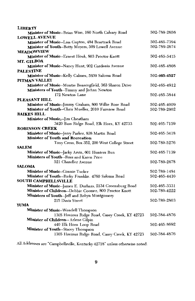| LIBERTY                                                                            |                      |
|------------------------------------------------------------------------------------|----------------------|
| Minister of Music--Brian Wise, 160 North Calvary Road                              | 502-789-2656         |
| <b>LOWELL AVENUE</b>                                                               |                      |
| Minister of Music--Lisa Gupton, 484 Beartrack Road                                 | 502-465-7394         |
| Minister of Youth--Betty Moyers, 509 Lowell Avenue                                 | 502-789-2674         |
| <b>MEADOWVIEW</b>                                                                  |                      |
| Minister of Music--Ernest Houk, 803 Proctor-Knott                                  | 502-465-5415         |
| MT. GILBOA                                                                         |                      |
| Minister of Music--Nancy Hunt, 902 Gardenia Avenue                                 | 502-465-4808         |
| <b>PALESTINE</b>                                                                   |                      |
| Minister of Music--Kelly Calmes, 5939 Saloma Road                                  | 502-4 <b>65-4527</b> |
| PITMAN VALLEY                                                                      |                      |
| Minister of Music--Montie Benningfield, 363 Sharon Drive                           | 502-465-4912         |
| Ministers of Youth-Timmy and JoAnn Newton                                          |                      |
| 172 Newton Lane                                                                    | 502-465-3844         |
| PLEASANT HILL                                                                      |                      |
| Minister of Music--Jimmy Graham, 800 Willie Rose Road                              | 502-465-4009         |
| Minister of Youth--Chris Mueller, 2010 Fairview Road                               | 502-789-2902         |
| <b>RAIKES HILL</b>                                                                 |                      |
| Minister of Music,--Jim Cheatham                                                   |                      |
| 3420 Bass Ridge Road, Elk Horn, KY 42733                                           | 502-465-7159         |
| <b>ROBINSON CREEK</b>                                                              |                      |
| Minister of Music--Jerry Parker, 838 Martin Road                                   | 502-465-3418         |
| <b>Minister of Youth and Recreation</b>                                            |                      |
| Tony Cress, Box 352, 200 West College Street                                       | 502-789-5276         |
| <b>SALEM</b>                                                                       |                      |
| Minister of Music--Jacky Arvin, 601 Hunters Run                                    | 502-465-7139         |
| Ministers of Youth--Ross and Karen Price                                           |                      |
| 521 Chandler Avenue<br><b>SALOMA</b>                                               | 502-789-2678         |
| Minister of Music--Connie Tucker                                                   |                      |
|                                                                                    | 502-789-1484         |
| Minister of Youth--Ricky Franklin. 4760 Saloma Road<br><b>SOUTH CAMPBELLSVILLE</b> | 502-465-4410         |
| Minister of Music--James E. Durham, 2134 Greensburg Road                           | 502-465-3331         |
| Minister of Children--Debbie Coomer, 800 Proctor Knott                             | 502-789-4222         |
| Ministers of Youth--Jeff and Robyn Montgomery                                      |                      |
| 215 Davis Street                                                                   | 502-789-2803         |
| <b>YUMA</b>                                                                        |                      |
| Minister of Music--Wendell Thompson                                                |                      |
|                                                                                    | 502-384-4876         |
| 1305 Hovious Ridge Road, Casey Creek, KY 42723                                     |                      |
| Minister of Children-- Arlene Gilpin<br>440 Elk Horn Loop Road                     | 502-465-8692         |
| Minister of Youth--Stacey Thompson                                                 |                      |
|                                                                                    | 502-384-4876         |
| 1305 Hovious Ridge Road, Casey Creek, KY 42723                                     |                      |
|                                                                                    |                      |

All Addresses are "Campbellsville, Kentucky 42718" unless otherwise noted.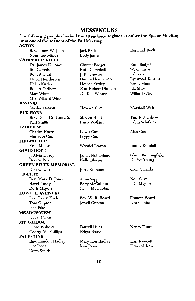### **MESSENGERS**

## The following people checked the attendance register at either the Spring Meeting<br>or at one of the sessions of the Fall Meeting.<br>ACTON

| Rev. James W. Jones         | Jack Beck              | <b>Rosalind Beck</b> |
|-----------------------------|------------------------|----------------------|
| Nora Lee Minor              | <b>Betty</b> Jones     |                      |
| <b>CAMPBELLSVILLE</b>       |                        |                      |
| Dr. James E. Jones          | <b>Chester Badgett</b> | <b>Ruth Badgett</b>  |
| Jim Campbell                | Ruth Campbell          | W. G. Cave           |
| Robert Clark                | J. B. Crawley          | Ed Garr              |
| David Henderson             | Denise Henderson       | Lynwood Kessler      |
| Helen Kirtley               | Homer Kirtley          | <b>Becky Mann</b>    |
| Robert Oldham               | Mrs. Robert Oldham     | Liz Shaw             |
| Marc Whitt                  | Dr. Ken Winters        | Willard Wise         |
| Mrs. Willard Wise           |                        |                      |
| <b>EASTSIDE</b>             |                        |                      |
| <b>Stanley DeWitt</b>       | Howard Cox             | Marshall Webb        |
| <b>ELK HORN</b>             |                        |                      |
| Rev. Daniel S. Hunt, Sr.    | Sharon Hunt            | Tim Richardson       |
| Paul Smith                  | <b>Rusty Watkins</b>   | Edith Whitlock       |
| FAIRVIEW                    |                        |                      |
| Charles Harris              | Lewis Cox              | Alan Cox             |
| Margaret Cox                | Peggy Cox              |                      |
| FRIENDSHIP                  |                        |                      |
| <b>Fred Miller</b>          | Wendel Bowen           | Jimmy Kendall        |
| <b>GOOD HOPE</b>            |                        |                      |
| J. Alvin Hardy              | James Netherland       | Glenn Benningfield   |
| <b>Reesor Pierce</b>        | Nelle Blevins          | E. Poe Young         |
| <b>GREEN RIVER MEMORIAL</b> |                        |                      |
| Don Gowin                   | Jerry Kibbons          | Glen Canada          |
| LIBERTY                     |                        |                      |
| Rev. Mark D. Jones          | Anna Sapp              | <b>Nell Wise</b>     |
| Hazel Lacey                 | Betty McCubbin         | J. C. Magers         |
| Doris Magers                | Callie McCubbin        |                      |
| <b>LOWELL AVENUE)</b>       |                        |                      |
| Rev. Larry Koch             | Rev. W. R. Beard       | <b>Frances Beard</b> |
| Tom Gupton                  | Jewell Gupton          | Lisa Gupton          |
| Jane Pike                   |                        |                      |
| <b>MEADOWVIEW</b>           |                        |                      |
| David Cable                 |                        |                      |
| MT. GILBOA                  |                        |                      |
| David Walters               | Darrell Hunt           | Nancy Hunt           |
| George M. Phillips          | Edgar Russell          |                      |
| PALESTINE                   |                        |                      |
| Rev. Landon Hadley          | Mary Lou Hadley        | Earl Fawcett         |
| Dot Jones                   | Ken Jones              | Howard Kerr          |
| Edith Smith                 |                        |                      |
|                             |                        |                      |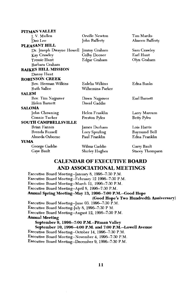| PITMAN VALLEY               |                  |                    |
|-----------------------------|------------------|--------------------|
| J. V. Mullen                | Orville Newton   | Tim Mardis         |
| Deo Lee                     | John Rafferty    | Alineen Rafferty   |
| PLEASANT HILL               |                  |                    |
| Dr. Joseph Dwayne Howell    | Jimmy Graham     | Sam Crawley        |
| Kay Crawley                 | Colby Deener     | Earl Hunt          |
| <b>Tressie Hunt</b>         | Edgar Graham     | Olyn Graham        |
| Barbara Graham              |                  |                    |
| <b>RAIKES HILL MISSION</b>  |                  |                    |
| Danny Hunt                  |                  |                    |
| <b>ROBINSON CREEK</b>       |                  |                    |
| Rev. Herman Wilkins         | Eulelia Wilkins  | Edna Banks         |
| <b>Ruth Sallee</b>          | Wilhemina Parker |                    |
| <b>SALEM</b>                |                  |                    |
| Rev. Tim Najpaver           | Dawn Najpaver    | Earl Barnett       |
| <b>Helen Barnett</b>        | David Gaddie     |                    |
| <b>SALOMA</b>               |                  |                    |
| John Chowning               | Helen Franklin   | Larry Marcum       |
| Connie Tucker               | Preston Pyles    | <b>Betty Pyles</b> |
| <b>SOUTH CAMPBELLSVILLE</b> |                  |                    |
| <b>Brian Fannin</b>         | James Durham     | Lois Harris        |
| Brenda Russell              | Lucy Spurling    | Raymond Bell       |
| Almeda Osborne              | Paul Franklin    | Edna Franklin      |
| YUMA                        |                  |                    |
| George Gaddie               | Wilma Gaddie     | Garry Bault        |
| Gaye Bault                  | Shirley Hughes   | Stacey Thompson    |

### **CALENDAR OF EXECUTIVE BOARD** AND ASSOCIATIONAL MEETINGS

Executive Board Meeting--January 8, 1996--7:30 P.M. Executive Board Meeting--February 12 1996-7:30 P.M. Executive Board Meeting--March 11, 1996--7:30 P.M. Executive Board Meeting--April 8, 1996-7:30 P.M. Annual Spring Meeting--May 13, 1996--7:00 P.M.--Good Hope (Good Hope's Two Hundredth Anniversary) Executive Board Meeting--June 03. 1996-7:30 P.M. Executive Board Meeting-July 8, 1996--7:30 P M. Executive Board Meeting--August 12, 1996--7:30 P.M. **Annual Meeting** September 9, 1996--7:00 P.M.--Pitman Valley September 10, 1996--4:00 P.M. and 7:00 P.M.--Lowell Avenue Executive Board Meeting--October 14, 1996--7:30 P.M. Executive Board Meeting--November 4, 1996-7:30 P.M. Executive Board Meeting--December 9, 1996-7:30 P.M.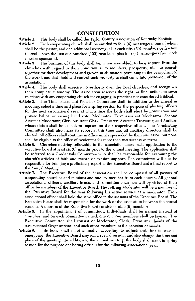### **CONSTITUTION**

- This body shall be called the Taylor County Association of Kentucky Baptists. Article 1.
- Article 2. Each cooperating church shall be entitled to four (4) messengers, one of whom shall be the pastor, and one additional messenger for each fifty (50) members or fraction thereof, above the first one hundred (100) members, plus four (4) messengers from each mission sponsored.
- The business of this body shall be, when assembled, to hear reports from the Article 3. churches with regard to their condition as to members, prosperity, etc., to consult together for their development and growth in all matters pertaining to the evangelism of the world, and shall hold and control such property as shall come into possession of the association.
- The body shall exercise no authority over the local churches, and recognizes Article 4. their complete autonomy. The Association reserves the right, as final action, to sever relations with any cooperating church for engaging in practices not considered Biblical.
- Article 5. The Time, Place, and Preacher Committee shall, in addition to the annual m meeting, select a time and place for a spring session for the purpose of electing officers for the next associational year, at which time the body shall elect by nomination and private ballot, or raising hand vote: Moderator; First Assistant Moderator; Second Assistant Moderator; Clerk Assistant Clerk; Treasurer; Assistant Treasurer; and Auditor; whose duties shall be as custom imposes on their respective offices. The Nominating Committee shall also make its report at this time and all auxiliary directors shall be elected. All officers shall continue in office until superseded by their successor, but none shall be eligible to the office of moderator for more than two successive terms.
- Article 6. Churches desiring fellowship in the association must make application to the executive board at least  $\sin(6)$  months prior to the annual meeting. The application shall be referred to a Credentials Committee who shall be responsible for examining the church's articles of faith and record of mission support. The committee will also be responsible for bringing a preliminary report to the Executive Board and a final report to the Annual Meeting.
- Article 7. The Executive Board of the Association shall be composed of all pastors of cooperating churches and missions and one lay member from each church. All general associational officers, auxiliary heads, and committee chairmen will by virtue of their office be members of the Executive Board. The retiring Moderator will be a member of the Executive Board for the year following his active service as a moderator. Each associational officer shall hold the same office in the sessions of the Executive Board. The Executive Board shall be responsible for the work of the association between the annual sessions. A quorum of the Executive Board consists of nine (9) members.
- In the appointment of committees, individuals shall be named instead of Article 8. churches, and on each committee named, one or more members shall be laymen. The Executive Committee shall consist of Moderator, Clerk, Treasurer, heads of the Associational Organizations, and such other members as the occasion demands.
- **Article 9.** This body shall meet annually, according to adjustment, but in case of emergency, the Executive Board may call a special session, and also change the time and place of the meeting. In addition to the annual meeting, the body shall meet in spring session for the purpose of electing officers for the following associational year.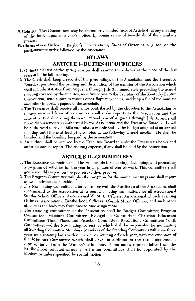- Article 10. This Constitution may be altered or amended (except Article 4) at any meeting of the body, upon one year's notice, by concurrence of two-thirds of the members present.
- Kerfoot's Parliamentary Rules of Order is a guide of the Parliamentary Rules: parliamentary order followed by the association.

### **BYLAWS**

### **ARTICLE 1-DUTIES OF OFFICERS**

- 1. Officers elected at the spring session shall assume their duties at the close of the last session in the fall meeting.
- 2. The Clerk shall keep a record of the proceedings of the Association and the Executive Board, superintend the printing and distribution of the minutes of the Association which shall include statistics from August 1 through July 31 immediately preceding the annual meeting covered by the minutes, send five copies to the Secretary of the Kentucky Baptist Convention, send copies to various other Baptist agencies, and keep a file of the minutes and other important papers of the association.
- 3. The Treasurer shall receive all money contributed by the churches to the Association or money received from other sources, shall make reports to the Association and the Executive Board covering the Associational year of August 1 through July 31 and shall make disbursements as authorized by the Association and the Executive Board, and shall be authorized to pay all bills end salaries established by the budget adopted at an annual meeting until the next budget is adopted at the following annual meeting. He shall be bonded and the bonding fee paid by the association.
- 4. An auditor shall be secured by the Executive Board to audit the Treasurer's books and attest his annual report. The auditing expense, if any shall be paid by the Association.

### **ARTICLE II--COMMITTEES**

- 1. The Executive Committee shall be responsible for planning, developing, and promoting a program of activities for the year in all phases of church work. This committee shall give a monthly report on the progress of their program.
- 2. The Program Committee will plan the programs for the annual meetings and shall report as far in advance as possible.
- 3. The Nominating Committee, after consulting with the Auxiliaries of the Association, shall recommend to the Association at its annual meeting nominations for all Associational Sunday School Officers, Associational W. M. U. Officers, Associational Church Training Officers, Associational Brotherhood Officers, Church Music Officers, and such other officers as the body may from time to time assign them.
- 4. The standing committees of the Association shall be Budget Committee; Program Committee; Missions Committee; Evangelism Committee; Christian Education Committee; Time, Place, and Preacher Committee; Resolutions Committee; Youth Committee; and the Nominating Committee which shall be responsible for nominating all Standing Committee Members. Members of the Standing Committees will serve three years on a rotating basis with one member rotating off each year, with the exception of the Missions Committee which shall have, in addition to the three members, a representative from the Women's Missionary Union and a representative from the Brotherhood selected annually. All other committees shall he appointed by the Moderator unless specified by special motion.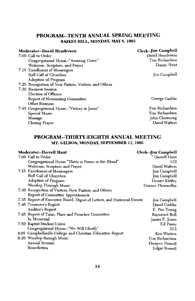### PROGRAM--TENTH ANNUAL SPRING MEETING RAIKES HILL, MONDAY, MAY 8, 1995

| Moderator--David Henderson                            | Clerk--Jim Campbell |
|-------------------------------------------------------|---------------------|
| 7:00 Call to Order                                    | David Henderson     |
| Congregational Hymn--"Amazing Grace"                  | Tim Richardson      |
| Welcome, Scripture, and Prayer                        | Danny Hunt          |
| 7:15 Enrollment of Messengers                         |                     |
| Roll Call of Churches                                 | Jim Campbell        |
| Adoption of Program                                   |                     |
| 7:25 Recognition of New Pastors, Visitors, and Others |                     |
| 7:30 Business Session                                 |                     |
| <b>Election of Officers</b>                           |                     |
| Report of Nominating Committee                        | George Gaddie       |
| <b>Other Business</b>                                 |                     |
| 7:45 Congregational Hymn--"Victory in Jesus"          | Tim Richardson      |
| <b>Special Music</b>                                  | Tim Richardson      |
| Message                                               | John Chowning       |
| Closing Prayer                                        | David Walters       |

### PROGRAM--THIRTY-EIGHTH ANNUAL MEETING MT. GILBOA, MONDAY, SEPTEMBER 11, 1995

| Moderator--Darrell Hunt                                                  | Clerk--Jim Campbell |
|--------------------------------------------------------------------------|---------------------|
| 7:00 Call to Order                                                       | * Darrell Hunt      |
| Congregational Hymn "There is Power in the Blood"                        | 132                 |
| Welcome, Scripture and Prayer                                            | David Walters       |
| 7:15 Enrollment of Messengers                                            | <b>Jim Campbell</b> |
| <b>Roll Call of Churches</b>                                             | Jim Campbell        |
| Adoption of Program                                                      | Homer Kirtley       |
| Worship Through Music                                                    | Connie Flewwellin   |
| 7:30 Recognition of Visitors, New Pastors, and Others                    |                     |
| Report of Committee Appointments                                         |                     |
| 7:35 Report of Executive Board, Digest of Letters, and Historical Events | <b>Im Campbell</b>  |
| 7:40 Treasurer's Report                                                  | David Gaddie        |
| Auditor's Report                                                         | E. Poe Young        |
| 7:45 Report of Time, Place and Preacher Committee                        | Raymond Bell        |
| In Memorial                                                              | James E. Jones      |
| 7:50 Baptist Student Union                                               | Ed Pavey            |
| Congregational Hymn--"We Will Glorify"                                   | 213                 |
| 8:05 Campbellsville College and Christian Education Report               | Ken Winters         |
| 8:20 Worship through Music                                               | Tim Richardson      |
| Annual Sermon                                                            | Dwayne Howell       |
| Benediction                                                              | Edgar Russell       |
|                                                                          |                     |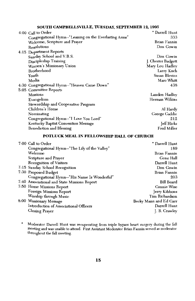### SOUTH CAMPBELLSVILLE, TUESDAY, SEPTEMBER 12, 1995

| $4:00$ Call to Order                                   | * Darrell Hunt     |
|--------------------------------------------------------|--------------------|
| Congregational Hymn--"Leaning on the Everlasting Arms" | 333                |
| Welcome, Scripture and Prayer                          | Brian Fannin       |
| Resolutions                                            | Don Gowin          |
| 4:15 Department Reports                                |                    |
| Sunday School and V.B.S.                               | Don Gowin          |
| Discipleship Training                                  | J. Chester Badgett |
| Women's Missionary Union                               | Mary Lou Hadley    |
| Brotherhood                                            | Larry Koch         |
| Youth                                                  | Susan Blevins      |
| Media                                                  | Marc Whitt         |
| 4:30 Congregational Hymn--"Heaven Came Down"           | 438                |
| 5:05 Committee Reports                                 |                    |
| <b>Missions</b>                                        | Landon Hadley      |
| Evangelism                                             | Herman Wilkins     |
| Stewardship and Cooperative Program                    |                    |
| Children's Home                                        | Al Hardy           |
| Nominating                                             | George Gaddie      |
| Congregational Hymn--"I Love You Lord"                 | 212                |
| Kentucky Baptist Convention Message                    | Jeff Hicks         |
| <b>Benediction and Blessing</b>                        | Fred Miller        |

### POTLUCK MEAL IN FELLOWSHIP HALL OF CHURCH

| 7:00 Call to Order                            | * Darrell Hunt         |
|-----------------------------------------------|------------------------|
| Congregational Hymn--"The Lily of the Valley" | 189                    |
| Welcome                                       | Brian Fannin           |
| Scripture and Prayer                          | Gene Hall              |
| Recognition of Visitors                       | Darrell Hunt           |
| 7:15 Sunday School Recognition                | Don Gowin              |
| 7:30 Proposed Budget                          | Brian Fannin           |
| Congregational Hymn--"His Name Is Wonderful"  | 203                    |
| 7:40 Associational and State Missions Report  | <b>Bill Beard</b>      |
| 7:50 Home Missions Report                     | Connie Wise            |
| Foreign Missions Report                       | Jerry Kibbons          |
| Worship through Music                         | Tim Richardson         |
| 8:00 Missionary Message                       | Becky Mann and Ed Garr |
| Introduction of Associational Officers        | Darrell Hunt           |
| Closing Prayer                                | J. B. Crawley          |
|                                               |                        |

Moderator Darrell Hunt was recuperating from triple bypass heart surgery during the fall<br>meeting and was unable to attend. First Assistant Moderator Brian Fannin served as moderator  $\bullet$ throughout the fall meeting.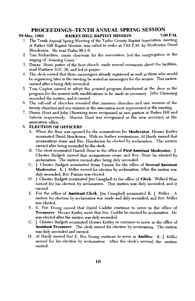### PROCEEDINGS--TENTH ANNUAL SPRING SESSION

#### 08 May, 1995

### **RAIKES HILL BAPTIST MISSION**

7:00 P.M.

- 1. The Tenth Annual Spring Meeting of the Taylor County Baptist Association, meeting at Raikes Hill Baptist Mission, was called to order at 7:02 P.M. by Moderator David Henderson. He read Psalm 98:1-6.
- 2. Tim Richardson, music chairman for the association, led the congregation in the singing of "Amazing Grace."
- 3. Danny Hunt, pastor of the host church, made several comments about the facilities, read Matthew 9:37, 38, and led in praver.
- 4. The clerk moved that those messengers already registered as well as those who would be registering later in the meeting be seated as messengers for the session. This motion carried after a being duly seconded.
- 5. Tom Gupton moved to adopt the printed program distributed at the door as the program for the session with modifications to be made as necessary. John Chowning seconded the motion, and it carried.
- 6. The roll-call of churches revealed that nineteen churches and one mission of the twenty churches and one mission in the association were represented at the meeting.
- 7. Danny Hunt and John Chowning were recognized as new pastors at Raikes Hill and Saloma respectively. Sharon Hunt was recognized as the new secretary at the association office.

#### 8. ELECTION OF OFFICERS

- A. When the floor was opened for the nominations for Moderator, Homer Kirtley nominated David Henderson. With no further nominations, Al Hardy moved that nominations cease and Bro. Henderson be elected by acclamation. The motion carried after being seconded by the clerk.
- B. The clerk nominated Darrell Hunt to the office of First Assistant Moderator. [ Chester Badgett moved that nominations cease and Bro. Hunt be elected by acclamation. The motion carried after being duly seconded.
- C. J. Chester Badgett nominated Brian Fannin for the office of Second Assistant Moderator. K. J. Miller moved for election by acclamation. After the motion was duly seconded, Bro. Fannin was elected.
- D. J. Chester Badgett nominated Jim Campbell to the office of Clerk. Willard Wise moved for his election by acclamation. This motion was duly seconded, and it carried.
- E. For the office of Assistant Clerk, Jim Campbell nominated K. J. Miller. A motion for election by acclamation was made and duly seconded, and Bro. Miller was elected.
- F. E. Poe Young moved that David Gaddie continue to serve in the office of Treasurer. Homer Kirtley move that Bro. Gaddie be elected by acclamation. He was elected after the motion was duly seconded.
- G. J. Chester Badgett nominated Homer Kirtley to continue to serve in the office of Assistant Treasurer. The clerk moved for election by acclamation. The motion was duly seconded and carried.
- H. Al Hardy moved that E. Poe Young continue to serve as **Auditor**. K. J. Miller moved for his election by acclamation. After the clerk's second, the motion carried.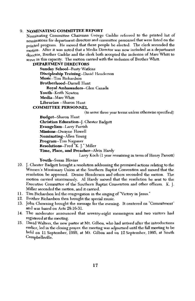#### 9. NOMINATING COMMITTEE REPORT

Nominating Committee Chairman George Gaddie referred to the printed list of nominations for department directors and committee personnel that were listed on the printed program. He moved that these people be elected. The clerk seconded the motion. After it was noted that a Media Director was now included as a department director, Brother Gaddie and the clerk both accepted the inclusion of Marc Whitt to serve in this capacity. The motion carried with the inclusion of Brother Whitt.

#### **DEPARTMENT DIRECTORS**

**Sunday School--Rusty Watkins** Discipleship Training--David Henderson Music-Tim Richardson **Brotherhood--Darrell Hunt** Royal Ambassadors--Glen Canada Youth-Keith Newton Media-Marc Whitt Librarian -- Sharon Hunt **COMMITTEE PERSONNEL** 

(to serve three year terms unless otherwise specified)

**Budget-Sharon Hunt** Christian Education--J. Chester Badgett Evangelism--Larry Parrish Missions--Dwayne Howell Nominating--Allen Young Program--Tim Najpaver Resolutions-Fred "K. J." Miller Time, Place, and Preacher--Alvin Hardy

Larry Koch (1 year remaining in term of Henry Parrott) Youth--Susan Blevins

- 10. J. Chester Badgett brought a resolution addressing the promised actions relating to the Women's Missionary Union at the Southern Baptist Convention and moved that the resolution be approved. Denise Henderson and others seconded the motion. The motion carried unanimously. Al Hardy moved that the resolution be sent to the Executive Committee of the Southern Baptist Convention and other officers. K. L. Miller seconded the motion, and it carried.
- 11. Tim Richardson led the congregation in the singing of "Victory in Jesus."
- 12. Brother Richardson then brought the special music.
- 13. John Chowning brought the message for the evening. It centered on "Commitment" and was based on Acts 28:16-31.
- 14. The moderator announced that seventy-eight messengers and two visitors had registered at the meeting.
- 15. David Walters, the new pastor at Mt. Gilboa, who had arrived after the introductions earlier, led in the closing prayer. the meeting was adjourned until the fall meeting to be held on 11 September, 1995, at Mt. Gilboa and on 12 September, 1995, at South Campbellsville.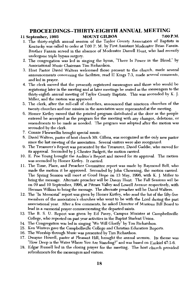### PROCEEDINGS--THIRTY-EIGHTH ANNUAL MEETING

#### 7:00 P.M. 11 September, 1995 **MOUNT GILBOA**

- 1. The thirty-eighth annual session of the Taylor County Association of Baptists in Kentucky was called to order at 7:00 P. M. by First Assistant Moderator Brian Fannin. Brother Fannin served in the absence of Moderator Darrell Hunt, who had recently undergone triple bypass surgery.
- 2. The congregation was led in singing the hymn, "There Is Power in the Blood," by Associational Music Chairman Tim Richardson.
- 3. Host Pastor David Walters welcomed those present to the church, made several announcements concerning the facilities, read II Kings 7:3, made several comments, and led in prayer.
- 4. The clerk moved that the presently registered messengers and those who would be registering later in the meeting and at later meetings be seated as the messengers to the thirty-eighth annual meeting of Taylor County Baptists. This was seconded by K. J. Miller, and the motion was approved.
- 5. The clerk, after the roll-call of churches, announced that nineteen churches of the twenty churches and one mission in the association were represented at the meeting.
- 6. Homer Kirtley moved that the printed program distributed at the door as the people entered be accepted as the program for the meeting with any changes, deletions, or amendments to be made as needed. The program was adopted after the motion was seconded by the clerk.
- 7. Connie Flewwellin brought special music.
- 8. David Walters, pastor of host church Mt. Gilboa, was recognized as the only new pastor since the last meeting of the association. Several visitors were also recognized.
- 9. The Treasurer's Report was presented by the Treasurer, David Gaddie, who moved for its approval. Seconded by J. Chester Badgett, the motion carried.
- 10. E. Poe Young brought the Auditor's Report and moved for its approval. The motion was seconded by Homer Kirtley. It carried.
- 11. The Time, Place, and Preacher Committee report was made by Raymond Bell, who made the motion it be approved. Seconded by John Chowning, the motion carried. The Spring Session will meet at Good Hope on 13 May, 1996, with K. J. Miller to bring the message. Alternate preacher will be Danny Hunt. The Fall Sessions will be on 09 and 10 September, 1996, at Pitman Valley and Lowell Avenue respectively, with Herman Wilkins to bring the message. The alternate preacher will be David Walters.
- 12. The "In Memorial" report was given by Homer Kirtley, who read the list of the fifty-five members of the association's churches who went to be with the Lord during the past associational year. After a few comments, he asked Director of Missions Bill Beard to lead in a memorial prayer commemorating the departed saints.
- 13. The B. S. U. Report was given by Ed Pavey, Campus Minister at Campbellsville College, who reported on past year activities in the Baptist Student Union.
- 14. The Congregation was led in singing "We Will Glorify" by Tim Richardson.
- 15. Ken Winters gave the Campbellsville College and Christian Education Reports.
- 16. The Worship through Music was presented by Tim Richardson.
- 17. Dwayne Howell, pastor at Pleasant Hill, brought the annual sermon. Its theme was "How Deep is the Water Where You Are Standing?" and was based on Ezekiel 47:1-6.
- 18. Edgar Russell led in the closing prayer for the meeting. The host church provided refreshments for the messengers and visitors.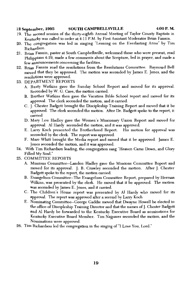#### 12 September, 1995 **SOUTH CAMPBELLSVILLE**

- 4:00 P.M.
- 19. The second session of the thirty-eighth Annual Meeting of Taylor County Baptists in Kentucky was called to order at 4:11 P.M. by First Assistant Moderator Brian Fannin.
- 20. The congregation was led in singing "Leaning on the Everlasting Arms" by Tim Richardson.
- 21. Brian Fannin, pastor at South Campbellsville, welcomed those who were present, read Philippians 4:19, made a few comments about the Scripture, led in prayer, and made a few announcements concerning the facilities.
- 22. Brian Fannin read the resolutions from the Resolutions Committee. Raymond Bell moved that they be approved. The motion was seconded by James E. Jones, and the resolutions were approved.
- 23. DEPARTMENT REPORTS
	- A. Rusty Watkins gave the Sunday School Report and moved for its approval. Seconded by W. G. Cave, the motion carried.
	- B. Brother Watkins then gave the Vacation Bible School report and moved for its approval. The clerk seconded the motion, and it carried.
	- C. J. Chester Badgett brought the Discipleship Training Report and moved that it be approved. The clerk seconded the motion. After Dr. Badgett spoke to the report, it carried
	- D. Mary Lou Hadley gave the Women's Missionary Union Report and moved for approval. Al Hardy seconded the motion, and it was approved.
	- E. Larry Koch presented the Brotherhood Report. His motion for approval was seconded by the clerk. The report was approved.
	- F. Marc Whitt brought the Media report and moved that it be approved. James E. Jones seconded the motion, and it was approved.
- 24. With Tim Richardson leading, the congregation sang "Heaven Came Down, and Glory Filled My Soul."
- 25. COMMITTEE REPORTS
	- A. Missions Committee--Landon Hadley gave the Missions Committee Report and moved for its approval. J. B. Crawley seconded the motion. After J. Chester Badgett spoke to the report, the motion carried.
	- B. Evangelism Committee--The Evangelism Committee Report, prepared by Herman Wilkins, was presented by the clerk. He moved that it be approved. The motion was seconded by James E. Jones, and it carried.
	- C. The Children's Home report was presented by Al Hardy who moved for its approval. The report was approved after a second by Larry Koch
	- E. Nominating Committee--George Gaddie moved that Dwayne Howell be elected to the office of Discipleship Training Director and that the names of J. Chester Badgett and Al Hardy be forwarded to the Kentucky Executive Board as nominations for Kentucky Executive Board Member. Tim Najpaver seconded the motion, and the Nominations were approved.
- 26. Tim Richardson led the congregation in the singing of "I Love You, Lord."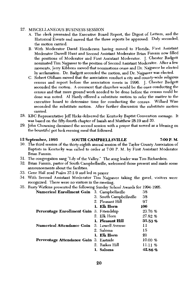#### 27. MISCELLANEOUS BUSINESS SESSION

- A. The clerk presented the Executive Board Report, the Digest of Letters, and the Historical Events and moved that the three reports be approved. Duly seconded, the motion carried.
- B. With Moderator David Henderson having moved to Florida, First Assistant Moderator Darrell Hunt and Second Assistant Moderator Brian Fannin now filled the positions of Moderator and First Assistant Moderator. J. Chester Badgett nominated Tim Najpaver to the position of Second Assistant Moderator. After a few moments, Jerry Kibbons moved that nominations cease and Dr. Najpaver be elected by acclamation. Dr. Badgett seconded the motion, and Dr. Najpaver was elected.
- C. Robert Oldham moved that the association conduct a city and county-wide religious census and report before the association meets in 1996. J. Chester Badgett seconded the motion. A comment that churches would be the ones conducting the census and that more ground work needed to be done before the census could be done was noted. Al Hardy offered a substitute motion to refer the matter to the executive board to determine time for conducting the census. Willard Wise seconded the substitute motion. After further discussion the substitute motion carried.
- 28. KBC Representative Jeff Hicks delivered the Kentucky Baptist Convention message. It was based on the fifty-fourth chapter of Isaiah and Matthew 28:19 and 20.
- 29. John Chowning dismissed the second session with a prayer that served as a blessing on the bountiful pot luck evening meal that followed.

#### **SOUTH CAMPBELLSVILLE** 7:00 P.M. 12 September, 1995

- 30. The third session of the thirty-eighth annual session of the Taylor County Association of Baptists in Kentucky was called to order at 7:00 P. M. by First Assistant Moderator Brian Fannin.
- 31. The congregation sang "Lily of the Valley." The song leader was Tim Richardson.
- 32. Brian Fannin, pastor of South Campbellsville, welcomed those present and made some announcements about the facilities.
- 33. Gene Hall read Psalm 37:1-9 and led in prayer
- 34. With Second Assistant Moderator Tim Najpaver taking the gavel, visitors were recognized. There were no visitors in the meeting.

#### 35. Rusty Watkins presented the following Sunday School Awards for 1994-1995.

| Numerical Enrollment Gain                         | 3. Campbellsville       | 38      |
|---------------------------------------------------|-------------------------|---------|
|                                                   | 3. South Campbellsville | 38      |
|                                                   | 2. Pleasant Hill        | 97      |
|                                                   | 1. Elk Horn             | 106     |
| Percentage Enrollment Gain 3. Friendship          |                         | 23.76 % |
|                                                   | 2. Elk Horn             | 27.82%  |
|                                                   | 1. Pleasant Hill        | 35.53%  |
| <b>Numerical Attendance Gain</b> 3. Lowell Avenue |                         | 11      |
|                                                   | 2. Saloma               | 15      |
|                                                   | 1. Elk Horn             | 21      |
| Percentage Attendance Gain 3. Eastside            |                         | 10.00 % |
|                                                   | 2. Raikes Hill          | 11.11 % |
|                                                   | 1. Saloma               | 42.86%  |
|                                                   |                         |         |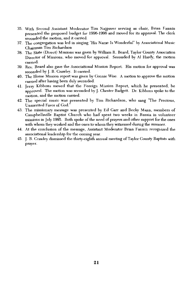- 35. With Second Assistant Moderator Tim Najpaver serving as chair, Brian Fannin presented the proposed budget for 1996-1996 and moved for its approval. The clerk seconded the motion, and it carried.
- 37. The congregation was led in singing "His Name Is Wonderful" by Associational Music Chairman Tim Richardson
- 38. The State (Direct) Missions was given by William R. Beard, Taylor County Association Director of Missions, who moved for approval. Seconded by Al Hardy, the motion carried.
- 39. Rev. Beard also gave the Associational Mission Report. His motion for approval was seconded by J. B. Crawley. It carried.
- 40. The Home Mission report was given by Connie Wise. A motion to approve the motion carried after having been duly seconded.
- 41. Jerry Kibbons moved that the Foreign Mission Report, which he presented, be approved. The motion was seconded by J. Chester Badgett. Dr. Kibbons spoke to the motion, and the motion carried.
- 42. The special music was presented by Tim Richardson, who sang "The Precious, Unmerited Favor of God.
- 43. The missionary message was presented by Ed Garr and Becky Mann, members of Campbellsville Baptist Church who had spent two weeks in Russia in volunteer missions in July 1995. Both spoke of the need of prayers and other support for the ones with whom they worked and the ones to whom they witnessed during the summer.
- 44. At the conclusion of the message, Assistant Moderator Brian Fannin recognized the associational leadership for the coming year.
- 45. J. B. Crawley dismissed the thirty-eighth annual meeting of Taylor County Baptists with prayer.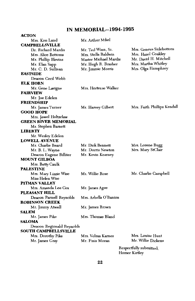### **IN MEMORIAL--1994-1995**

 $\overline{a}$  $\ddot{\phantom{0}}$ 

| ACTON                       |                       |                            |
|-----------------------------|-----------------------|----------------------------|
| Mrs. Kim Land               | Mr. Arthur Mikel      |                            |
| <b>CAMPBELLSVILLE</b>       |                       |                            |
| Dr. Richard Mardis          | Mr. Ted Winn, Sr.     | Mrs. Geneva Sidebottom     |
| Mrs. Alice Bottoms          | Mrs. Stella Baldwin   | Mrs. Hazel Coakley         |
| Mr. Phillip Blevins         | Master Michael Mardis | Mr. David H. Mitchell      |
| Mr. Elan Sapp               | Mr. Hugh R. Brasher   | Mrs. Martha Whitley        |
| Mr. C. D. Sullivan          | Mr. Jimmie Morris     | Mrs. Olga Humphrey         |
| <b>EASTSIDE</b>             |                       |                            |
| Deacon Cecil Webb           |                       |                            |
| ELK HORN                    |                       |                            |
| Mr. Gene Lavigne            | Mrs. Hortense Walker  |                            |
| <b>FAIRVIEW</b>             |                       |                            |
| Mr. Joe Edelen              |                       |                            |
| <b>FRIENDSHIP</b>           |                       |                            |
| Mr. James Turner            | Mr. Harvey Gilbert    | Mrs. Faith Phillips Kendal |
| <b>GOOD HOPE</b>            |                       |                            |
| Mrs. Jewel Holtzclaw        |                       |                            |
| <b>GREEN RIVER MEMORIAL</b> |                       |                            |
| Mr. Stephen Barnett         |                       |                            |
| LIBERTY                     |                       |                            |
| Mr. Wesley Edelen           |                       |                            |
| <b>LOWELL AVENUE</b>        |                       |                            |
| Mr. Charlie Beard           | Mr. Dick Bennett      | Mrs. Lorene Bugg           |
| Mr. B. L. Wayne             | Mr. Dorris Newton     | Mrs. Mary StClair          |
| Deacon Eugene Billiter      | Mr. Kevin Kearney     |                            |
| <b>MOUNT GILBOA</b>         |                       |                            |
| Mrs. Betty Caulk            |                       |                            |
| PALESTINE                   |                       |                            |
| Mrs. Mary Lizzie Wise       | Mr. Willie Rose       | Mr. Charlie Campbell       |
| Miss Helen Wise             |                       |                            |
| PITMAN VALLEY               |                       |                            |
| Mrs. Amanda Lee Cox         | Mr. James Agee        |                            |
| PLEASANT HILL               |                       |                            |
| Deacon Parnell Reynolds     | Mrs. Arbella O'Banion |                            |
| <b>ROBINSON CREEK</b>       |                       |                            |
| Mr. Jimmy Atwell            | Mr. James Brown       |                            |
| SALEM                       |                       |                            |
| Mr. James Pike              | Mrs. Thomas Bland     |                            |
| SALOMA                      |                       |                            |
| Deacon Regionald Reynolds   |                       |                            |
| <b>SOUTH CAMPBELLSVILLE</b> |                       |                            |
| Mrs. Dorothy Pike           | Mrs. Velma Karnes     | Mrs. Louise Hunt           |
| Mr. James Gray              | Mr. Finis Moran       | Mr. Willie Dickens         |
|                             |                       |                            |
|                             |                       | Respectfully submitted,    |
|                             |                       | Homer Kirtley              |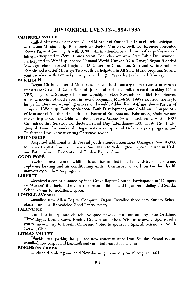### **HISTORICAL EVENTS--1994-1995**

#### **CAMPRELLSVILLE**

Called Minister of Activities; Called Minister of Youth; Ten from church participated in Russian Mission Trip; Ron Lewis conducted Church Growth Conference; Presented Easter Pageant four nights with 3,700 total in attendance and twenty-five professions of faith: Participated in *Here's Hope Revival*; Four children were State Bible Drill winners; Participated in WMU-sponsored National World Hunger "Can Drive;" Began Blended Marriage class; Hosted Regional RA Congress; Conducted Spiritual Gifts Seminar; Established a Grief Ministry: Two youth participated in All State Music program, Several vouth worked with Kentucky Changers, and Began Weekday Trailer Park Ministry.

#### ELK HORN

Began Christ Centered Ministries, a seven-fold ministry team to assist in various ministries; Ordained Daniel S. Hunt, Jr., son of pastor; Enrolled record-breaking 444 in VBS; began dual Sunday School and worship services November 6, 1994; Experienced unusual moving of God's Spirit in revival beginning March 26, 1995 (required moving to larger facilities and extending into second week); Added four staff members--Pastors of Praise and Worship, Faith Application, Faith Development, and Children; Changed title of Minister of Youth and Children to Pastor of Students and Education; Made mission revival trip to Convoy, Ohio; Conducted Fresh Encounter as church body; Hosted BSU Commissioning Service; Conducted Friend Day (attendance--403); Hosted SonPraise Revival Team for weekend; Began extensive Spiritual Gifts analysis program; and Performed Live Nativity during Christmas season.

#### **FRIENDSHIP**

Acquired additional land; Several youth attended Kentucky Changers; Sent \$5,000 to Penza Baptist Church in Russia; Sent \$500 to Wilmington Baptist Church in Utah; and Participated in Restoration of Dunbar Baptist Church.

#### **GOOD HOPE**

Started construction on addition to auditorium that includes baptistry; choir loft; and replacing heating and air conditioning units. Continued to work on two hundredth anniversary celebration program.

#### **LIBERTY**

Received a copier donated by Vine Grove Baptist Church; Participated in "Campers" on Mission" that included several repairs on building; and began remodeling old Sunday School rooms for additional space.

### **LOWELL AVENUE**

Installed new Allen Digital Computer Organ; Installed three new Sunday School classrooms; and Remodeled Food Pantry facility.

#### **PALESTINE**

Voted to incorporate church; Adopted new constitution and by-laws; Ordained Elroy Riggs, Bernie Cave, Freddy Graham, and Floyd Wise as deacons; Sponsored a youth mission trip to Lorain, Ohio; and Voted to sponsor a Spanish Mission in South Lorain, Ohio.

### **PITMAN VALLEY**

Blacktopped parking lot; poured new concrete steps from Sunday School rooms; installed new carpet and handrail; and carpeted front steps to church.

### **ROBINSON CREEK**

Dedicated building and held Note-burning Ceremony on 19 August, 1994.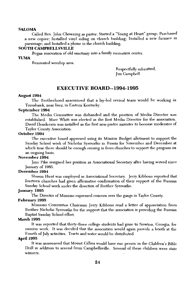#### **SALOMA**

Called Rev. John Chowning as pastor; Started a "Young at Heart" group; Purchased a new copier; Installed vinyl siding on church building; Installed a new furnace in parsonage; and Installed a phone in the church building.

#### **SOUTH CAMPBELLSVILLE**

Began renovation of old sanctuary into a family recreation center.

#### **YUMA**

Renovated worship area.

Respectfully submitted, **Jim** Campbell

### **EXECUTIVE BOARD--1994-1995**

#### August 1994

The Brotherhood announced that a lay-led revival team would be working in Tomahawk, near Inez, in Eastern Kentucky.

#### September 1994

The Media Committee was disbanded and the position of Media Director was established. Marc Whitt was elected as the first Media Director for the association. David Henderson was installed as the first non-pastor minister to become moderator of Taylor County Association.

#### October 1994

The executive board approved using its Mission Budget allotment to support the Sunday School work of Nicholai Syrovatko in Russia for November and December at which time there should be enough coming in from churches to support the program on an ongoing basis.

### November 1994

Jane Pike resigned her position as Associational Secretary after having served since January of 1985.

#### December 1994

Sharon Hunt was employed as Associational Secretary. Jerry Kibbons reported that fourteen churches had given affirmative confirmation of their support of the Russian Sunday School work under the direction of Brother Syrovatko.

#### January 1995

The Director of Missions expressed concern over the gangs in Taylor County.

#### February 1995

Missions Committee Chairman Jerry Kibbons read a letter of appreciation from Brother Nicholai Syrovatko for the support that the association is providing the Russian Baptist Sunday School effort.

#### March 1995

It was reported that thirty-three college students had gone to Newton, Georgia, for mission work. It was decided that the association would again provide a booth at the Fourth of July activities. Tracts and water would be distributed.

#### April 1995

It was announced that Mount Gilboa would have one person in the Children's Bible Drill in addition to several from Campbellsville. Several of these children were state winners.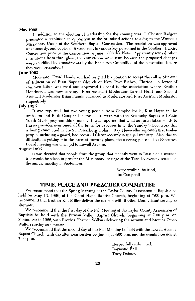#### May 1995

In addition to the election of leadership for the coming year, J. Chester Badgett presented a resolution in opposition to the promised actions relating to the Women's Missionary Union at the Southern Baptist Convention. The resolution was approved unanimously, and copies of it were sent to various key personnel in the Southern Baptist Convention prior to the Convention in June. (Clerk's Note: Apparently several other resolutions from throughout the convention were sent, because the proposed changes were modified by amendments by the Executive Committee of the convention before they were presented.)

#### **June 1995**

Moderator David Henderson had resigned his position to accept the call as Minister of Education of First Baptist Church of New Port Richey, Florida. A letter of commendation was read and approved to send to the association where Brother Henderson was now serving. First Assistant Moderator Darrell Hunt and Second Assistant Moderator Brian Fannin advanced to Moderator and First Assistant Moderator respectively.

#### **July 1995**

It was reported that two young people from Campbellsville, Kim Hayes in the orchestra and Ruth Campbell in the choir, were with the Kentucky Baptist All State Youth Music program this summer. It was reported that what our association sends to Russia provides over one-half the funds for expenses in all the Sunday School work that is being conducted in the St. Petersburg Oblast. Ray Flewwellin reported that twelve people, including a guard, had received Christ recently in the jail ministry. Also, due to difficulty in getting into the present meeting place, the meeting place of the Executive Board meeting was changed to Lowell Avenue.

#### August 1995

It was decided that people from the group that recently went to Russia on a mission trip would be asked to present the Missionary message at the Tuesday evening session of the annual meeting in September.

> Respectfully submitted, Jim Campbell

### TIME, PLACE AND PREACHER COMMITTEE

We recommend that the Spring Meeting of the Taylor County Association of Baptists be held on May 13, 1996, at the Good Hope Baptist Church, beginning at 7:00 p.m. We recommend that Brother K.J. Miller deliver the sermon with Brother Danny Hunt serving as alternate.

We recommend that the first day of the Fall Meeting of the Taylor County Association of Baptists be held with the Pitman Valley Baptist Church, beginning at 7:00 p.m. on September 9, 1966, with Brother Herman Wilkins delivering the sermon and Brother David Walters serving as alternate.

We recommend that the second day of the Fall Meeting be held with the Lowell Avenue Baptist Church, with the afternoon session beginning at 4:00 p.m. and the evening session at  $7:00$  p.m.

> Respectfully submitted, Raymond Bell Terry Dabney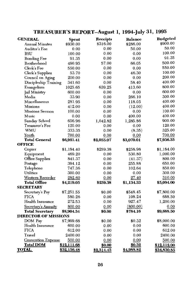### TREASURER'S REPORT--August 1, 1994-July 31, 1995

| GENERAL                     | <b>Spent</b>       | Receipts   | <b>Balance</b> | <b>Budgeted</b>    |
|-----------------------------|--------------------|------------|----------------|--------------------|
| <b>Annual Minutes</b>       | \$930.00           | \$316.00   | \$286.00       | \$900.00           |
| Auditor's Fee               | 0.00               | 0.00       | 50.00          | 50.00              |
| BSU                         | 100.00             | 0.00       | 0.00           | 100.00             |
| <b>Bonding Fee</b>          | 91.35              | 0.00       | 0.00           | 91.35              |
| <b>Brotherhood</b>          | 490.95             | 57.00      | 66.05          | 500.00             |
| Clerk's Fee                 | 550.00             | 0.00       | 0.00           | 550.00             |
| Clerk's Supplies            | 53.70              | 0.00       | 46.30          | 100.00             |
| Council on Aging            | 200.00             | 0.00       | 0.00           | 200.00             |
| Discipleship Training       | 341.60             | 0.00       | 58.40          | 400.00             |
| Evangelism                  | 1025.65            | 639.25     | 413.60         | 800.00             |
| Jail Ministry               | 600.00             | 0.00       | 0.00           | 600.00             |
| Media                       | 33.90              | 0.00       | 266.10         | 300.00             |
| Miscellaneous               | 281.95             | 0.00       | 118.05         | 400.00             |
| <b>Missions</b>             | 412.00             | 0.00       | (12.00)        | 400.00             |
| <b>Missions Sermon</b>      | 100.00             | 0.00       | 0.00           | 100.00             |
| Music                       | 0.00               | 0.00       | 400.00         | 400.00             |
| Sunday School               | 656.96             | 1,042.82   | 1,285.86       | 900.00             |
| Treasurer's Fee             | 120.00             | 0.00       | 0.00           | 120.00             |
| <b>WMU</b>                  | 333.35             | 0.00       | (8.35)         | 325.00             |
| Youth                       | 700.00             | 0.00       | 0.00           | 700.00             |
| <b>Total General</b>        | \$6,921.41         | \$2,055.07 | \$3,070.01     | \$7,936.35         |
| <b>OFFICE</b>               |                    |            |                |                    |
| Copier                      | \$1,184.40         | \$259.38   | \$258.98       | \$1,184.00         |
| Equipment                   | 469.20             | 0.00       | 530.80         | 1,000.00           |
| <b>Office Supplies</b>      | 841.37             | 0.00       | (41.37)        | 800.00             |
| Postage                     | 394.12             | 0.00       | 255.88         | 650.00             |
| Telephone                   | 747.36             | 0.00       | 102.64         | 850.00             |
| Utilities                   | 300.00             | 0.00       | 0.00           | 300.00             |
| Western Recorder            | 282.60             | 0.00       | 27.40          | 310.00             |
| <b>Total Office</b>         | \$4,219.05         | \$259.38   | \$1,134.33     | \$5,094.00         |
| <b>SECRETARY</b>            |                    |            |                |                    |
| Secretary's Pay             | \$7,251.55         | \$0.00     | \$548.45       | \$7,800.00         |
| <b>FICA</b>                 | 580.26             | 0.00       | 108.24         | 688.50             |
| Health Insurance            | 272.53             | 0.00       | 927.47         | 1,200.00           |
| Secretary's Annuity         | 800.00             | 0.00       | (800.00)       | 0.00               |
| <b>Total Secretary</b>      | \$8,904.34         | \$0.00     | \$784.16       | \$9,688.50         |
| <b>DIRECTOR OF MISSIONS</b> |                    |            |                |                    |
| DOM Pay                     | \$7,999.68         | \$0.00     | \$0.32         | \$8,000.00         |
| Health Insurance            | 600.00             | 0.00       | 0.00           | 600.00             |
| <b>FICA</b>                 | 612.00             | 0.00       | 0.00           | 612.00             |
| Travel                      | 2400.00            | 0.00       | 0.00           | 2400.00            |
| <b>Convention Expense</b>   | 500.00             | 0.00       | 0.00           | 500.00             |
| <b>Total DOM</b>            | \$12,111.68        | \$0.00     | \$0.32         | \$12,112.00        |
| <b>TOTAL</b>                | <u>\$32,156.48</u> | \$2,314.45 | \$4,988.82     | <u>\$34,830.85</u> |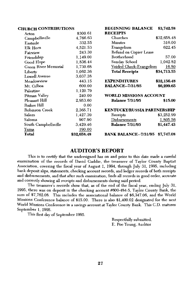#### **CHURCH CONTRIBUTIONS**

| IURUN VOITIMBU HONG  |             | DEGININING DALERNOL                | 40, 124.00   |
|----------------------|-------------|------------------------------------|--------------|
| Acton                | \$300.61    | <b>RECEIPTS</b>                    |              |
| Campbellsville       | 4,766.63    | Churches                           | \$32,658.48  |
| Eastside             | 332.55      | <b>Minutes</b>                     | 316.00       |
| Elk Horn             | 4,521.53    | Evangelism                         | 622.45       |
| Fairview             | 243.30      | Refund on Copier Lease             |              |
| Friendship           | 1,149.00    | Brotherhood                        | 57.00        |
| Good Hope            | 1,836.44    | Sunday School                      | 1,042.82     |
| Green River Memorial | 1,730.68    | Voided Check-Evangelism            | <u>16.80</u> |
| Liberty              | 1,062.36    | <b>Total Receipts</b>              | \$34,713.55  |
| Lowell Avenue        | 3.037.38    |                                    |              |
| Meadowview           | 443.15      | <b>EXPENDITURES</b>                | \$32,156.48  |
| Mt. Gilboa           | 600.00      | <b>BALANCE--7/31/95</b>            | \$6,299.65   |
| Palestine            | 1.120.79    |                                    |              |
| Pitman Valley        | 240.00      | <b>WORLD MISSIONS ACCOUNT</b>      |              |
| Pleasant Hill        | 2,953.60    | <b>Balance 7/31/95</b>             | \$15.00      |
| Raikes Hill          | 0.00        |                                    |              |
| Robinson Creek       | 2,365.71    | <b>KENTUCKY/RUSSIA PARTNERSHIP</b> |              |
| Salem                | 1,427.39    | Receipts                           | \$3,252.99   |
| Saloma               | 907.90      | Disbursements                      | 1,805.56     |
| South Campbellsville | 3,429.46    | <b>Balance 7/31/95</b>             | \$1,447.43   |
| <u>Yuma</u>          | 190.00      |                                    |              |
| Total                | \$32,658.48 | <b>BANK BALANCE--7/31/95</b>       | \$7,747.08   |

**RECINNING RALANCE** 

43 749 58

### **AUDITOR'S REPORT**

This is to certify that the undersigned has on and prior to this date made a careful examination of the records of David Gaddie, the treasurer of Taylor County Baptist Association, covering the fiscal year of August 1, 1994, through July 31, 1995, including bank deposit slips, statements, checking account records, and ledger records of both receipts and disbursements, and that after such examination, finds all records in good order, accurate and correctly showing all receipts and disbursements during said period.

The treasurer's records show that, as of the end of the fiscal year, ending July 31, 1995, there was on deposit in the checking account #600-484-5, Taylor County Bank, the sum of \$7,762.08. This includes the associational balance of \$6,347.06, and the World Missions Conference balance of \$15.00. There is also \$1,400.02 designated for the next World Missions Conference in a savings account at Taylor County Bank. This C.D. matures September 1, 1995.

This first day of September 1995.

Respectfully submitted, E. Poe Young, Auditor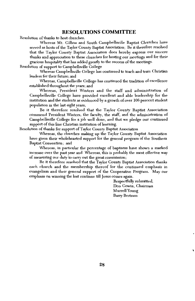### **RESOLUTIONS COMMITTEE**

Resolution of thanks to host churches.

Whereas Mt. Gilboa and South Campbellsville Baptist Churches have served as hosts of the Taylor County Baptist Association; Be it therefore resolved that the Taylor County Baptist Association does hereby express our sincere thanks and appreciation to these churches for hosting our meetings and for their gracious hospitality that has added greatly to the success of the meetings.

Resolution of support to Campbellsville College

Whereas Campbellsville College has continued to teach and train Christian leaders for their future: and

Whereas, Campbellsville College has continued the tradition of excellence established throughout the years; and

Whereas, President Winters and the staff and administration of Campbellsville College have provided excellent and able leadership for the institution and the students as evidenced by a growth of over 106 percent student population in the last eight years;

Be it therefore resolved that the Taylor County Baptist Association commend President Winters, the faculty, the staff, and the administration of Campbellsville College for a job well done, and that we pledge our continued support of this fine Christian institution of learning.

Resolution of thanks for support of Taylor County Baptist Association

Whereas, the churches making up the Taylor County Baptist Association have given their wholehearted support for the general program of the Southern Baptist Convention; and

Whereas, in particular the percentage of baptisms have shown a marked increase over the past year and Whereas, this is probably the most effective way of measuring our duty to carry out the great commission;

Be it therefore resolved that the Taylor County Baptist Association thanks each church and the membership thereof for the continued emphasis in evangelism and their general support of the Cooperative Program. May our emphasis on winning the lost continue till Jesus comes again.

> Respectfully submitted, Don Gowin, Chairman Murrell Young **Barry Bertram**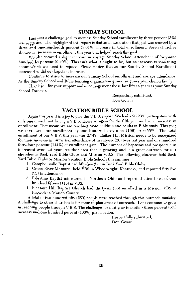### **SUNDAY SCHOOL**

Last year a challenge goal to increase Sunday School enrollment by three percent  $(3\%)$ was suggested. The highlight of this report is that as an association that goal was reached by a three and one-hundredth percent (3.01%) increase in total enrollment. Seven churches showed an increase in enrollment this year that helped reach this goal.

We also showed a slight increase in average Sunday School Attendance of forty-nine hundredths percent (0.49%). This isn't what it ought to be, but an increase is something about which we need to rejoice. Please notice that as our Sunday School Enrollment increased so did our baptisms increase.

Continue to strive to increase our Sunday School enrollment and average attendance. As the Sunday School and Bible teaching organization grows, so grows your church family.

Thank you for your support and encouragement these last fifteen years as your Sunday School Director.

> Respectfully submitted. Don Gowin

### **VACATION BIBLE SCHOOL**

Again this year it is a joy to give the V.B.S. report. We had a 95.23% participation with only one church not having a V.B.S. However again for the fifth year we had an increase in enrollment. That means we are reaching more children and adults in Bible study. This year we increased our enrollment by one hundred sixty-nine (169) or 6.55%. The total enrollment of our V.B.S. this year was 2.749. Raikes Hill Mission needs to be recognized for their increase in numerical attendance of twenty-six (26) over last year and one hundred forty-four percent (144%) of enrollment gain. The number of baptisms and prospects also increased over last year. Another area that is growing and is a great outreach for our churches is Back Yard Bible Clubs and Mission V.B.S. The following churches held Back Yard Bible Clubs or Mission Vacation Bible Schools this summer:

- 1. Campbellsville Baptist had fifty-five (55) in Back Yard Bible Clubs.
- 2. Green River Memorial held VBS in Wheelwright, Kentucky, and reported fifty-five  $(55)$  in attendance.
- 3. Palestine Baptist ministered in Northern Ohio and reported attendance of one hundred fifteen (115) in VBS.
- 4. Pleasant Hill Baptist Church had thirty-six (36) enrolled in a Mission VBS at Raywick in Marion County.

A total of two hundred fifty (250) people were reached through this outreach ministry. A challenge to other churches is for them to plan areas of outreach. Let's continue to grow in reaching people through V.B.S. The challenge for next year is another three percent  $(3\%)$ increase and one hundred percent (100%) participation.

> Respectfully submitted, Don Gowin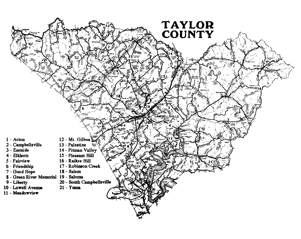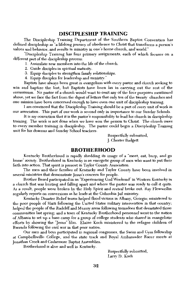### **DISCIPLESHIP TRAINING**

The Discipleship Training Department of the Southern Baptist Convention has defined discipleship as "a lifelong journey of obedience to Christ that transforms a person's values and behavior, and results in ministry in one's home church, and world."

"Discipleship Training has four primary assignments, each of which focuses on a different part of the discipleship process:

- 1. Assimilate new members into the life of the church.
- 2. Guide disciples in spiritual maturity.
- 3. Equip disciples to strengthen family relationships.
- 4. Equip disciples for leadership and ministry."

Baptists have always been great in evangelism with every pastor and church seeking to win and baptize the lost, but Baptists have been lax in carrying out the rest of the commission. No pastor of a church would want to omit any of the four purposes mentioned above, yet we face the fact from the digest of letters that only ten of the twenty churches and one mission have been concerned enough to have even one unit of discipleship training.

I am convinced that the Discipleship Training should be a part of every unit of work in our association. This part of our work is second only in importance to our Sunday Schools.

It is my conviction that it is the pastor's responsibility to lead his church in discipleship training. The work is not done when we have won the person to Christ. The church owes to every member training in discipleship. The pastor could begin a Discipleship Training unit for his deacons and Sunday School teachers.

> Respectfully submitted, **J. Chester Badgett**

### **BROTHERHOOD**

Kentucky Brotherhood is rapidly shedding its image of a "meet, eat, burp, and go home" society. Brotherhood in Kentucky is an energetic group of men who want to put their faith into action. That spirit is present in Taylor County Association.

The men and their families of Kentucky and Taylor County have been involved in several ministries that demonstrate Jesus's concern for people.

Brother Beard participated in an "Experiencing God Weekend" in Western Kentucky in a church that was hurting and falling apart and where the pastor was ready to call it quits. As a result, people were broken by the Holy Spirit and revival broke out. Ray Flewwellin regularly reports on conversions as he leads at the Columbia Jail ministry.

Kentucky Disaster Relief teams helped flood victims in Albany, Georgia; ministered to the poor people of Haiti following the United States military intervention in that country; helped the people of the Radcliff and Murray areas following tornadoes that devastated those communities last spring; and a team of Kentucky Brotherhood personnel went to the nation of Albania to set up a base camp for a group of college students who shared in evangelistic efforts by showing the "Jesus" film. Elaine Koch ministered to the refugee children of Rwanda following the civil war in that poor nation.

Our men and boys participated in regional congresses, the Swim and Gym fellowship at Campbellsville College, and the state track and Royal Ambassador Racer meets at Jonathan Creek and Cedarmore Baptist Assemblies.

Brotherhood is alive and well in Kentucky.

Respectfully submitted, Larry D. Koch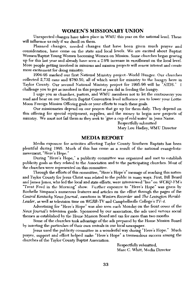### **WOMEN'S MISSIONARY UNION**

Unexpected changes have taken place in WMU this year on the national level. These will influence us only if we dwell on them.

Planned changes, needed changes that have been given much prayer and consideration, have come on the state and local levels. We are excited about Baptist Women/Baptist Young Women becoming Women on Mission. Some churches began gearing up for this last year and already have seen a 2.9% increase in enrollment on the local level. More people getting involved in missions and mission projects will renew interest and create more excitement for doing ministry.

1994-95 marked our first National Ministry project--World Hunger. Our churches collected 2,732 cans and \$760.50, all of which went for ministry to the hungry here in Taylor County. Our second National Ministry project for 1995-96 will be "AIDS." I challenge you to get as involved in this project as you did in feeding the hungry.

I urge you as churches, pastors, and WMU members not to let the controversy you read and hear on our Southern Baptist Convention level influence you to lower your Lottie Moon Foreign Mission Offering goals or your efforts to reach these goals.

Our missionaries depend on our prayers that go up for them daily. They depend on this offering for special equipment, supplies, and the money to begin new projects of ministry. We must not fail them as they seek to "give a cup of cold water" in Jesus Name.

Respectfully submitted

Mary Lou Hadley, WMU Director

#### **MEDIA REPORT**

Media exposure for activities affecting Taylor County Southern Baptists has been plentiful during 1995. Much of this has come as a result of the national evangelistic movement, "Here's Hope."

During "Here's Hope," a publicity committee was organized and met to establish publicity goals as they related to the Association and to the participating churches. Most of the churches were represented on this committee.

Through the efforts of this committee, "Here's Hope's" message of reaching this nation and Taylor County for Jesus Christ was related to the public in many ways. First, Bill Beard and James Jones, who led the local and state efforts, were interviewed "live" on WCKO-FM's "Trent Ford in the Morning" show. Further exposure to "Here's Hope" was given by Rochelle Simpson's numerous features and articles on the effort through the pages of the Central Kentucky News-Journal, mentions in Western Recorder and The Lexington Herald-Leader, as well as television time on WGRB-TV and Campbellsville College's TV-4.

Advertising for "Here's Hope" was also seen each Monday on the front cover of the News Journal's television guide. Sponsored by our association, the ads used various social themes as established by the Home Mission Board and ran for more than two months.

Some of the churches took advantage of the ads prepared by the Home Mission Board by inserting the particulars of their own revivals in our local newspaper.

Jesus used the publicity committee in a wonderful way during "Here's Hope." Much prayer, support and effort helped make "Here's Hope" a tremendous success among the churches of the Taylor County Baptist Association.

> Respectfully submitted, Marc C. Whitt, Media Director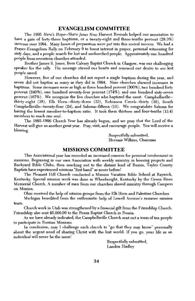### **EVANGELISM COMMITTEE**

The 1995 Here's Hope--Share Jesus Now Harvest Revivals helped our association to have a gain of forty-three baptisms, or a twenty-eight and three-tenths percent (28.3%) increase over 1994. Many hours of preparation were put into this revival success. We had a Prayer-Evangelism Rally on February 9 to boost interest in prayer, personal witnessing for sixty days, and a people search for lost and unchurched people. Approximately one hundred people from seventeen churches attended.

Brother James S. Jones, from Calvary Baptist Church in Glasgow, was our challenging speaker for the rally. His message stirred our hearts and renewed our desire to see lost people saved.

However, five of our churches did not report a single baptism during the year, and seven did not baptize as many as they did in 1994. Nine churches showed increases in baptisms. Some increases were as high as three hundred percent (300%), two hundred forty percent (240%), one hundred seventy-four percent (174%), and one hundred sixty-seven percent (167%). We recognize the five churches who baptized the most: Campbellsville-thirty-eight (38), Elk Horn--thirty-three (33), Robinson Creek--thirty (30), South Campbellsville--twenty-four (24), and Saloma--fifteen (15). We congratulate Saloma for having the lowest member-to-baptism ratio. It took them thirteen and four-tenths (13.4) members to reach one soul.

The 1995-1996 Church Year has already begun, and we pray that the Lord of the Harvest will give us another great year. Pray, visit, and encourage people. You will receive a blessing.

> Respectfully submitted, Herman Wilkins, Chairman

### **MISSIONS COMMITTEE**

This Associational year has recorded an increased concern for personal involvement in missions. Beginning in our own Association with weekly ministry in housing projects and Backyard Bible Clubs, then reaching out to the distant land of Russia, Taylor County Baptists have experienced missions "first hand" as never before!

The Pleasant Hill Church conducted a Mission Vacation Bible School at Raywick, Kentucky. Special mission work was done in Wheelwright, Kentucky by the Green River Memorial Church. A number of men from our churches shared ministry through Campers on Mission.

Ohio received the help of mission groups from the Elk Horn and Palestine Churches.

Michigan benefited from the enthusiastic help of Lowell Avenue's summer mission team.

Church work in Utah was strengthened by a financial gift from the Friendship Church. Friendship also sent \$5,000.00 to the Penza Baptist Church in Russia.

As we have already indicated, the Campbellsville Church sent out a team of ten people to participate in Russian Missions.

In conclusion, may I challenge each church to "go that they may know" personally about the urgent need of sharing Christ with the lost world. If you go, your life as an individual will never be the same!

> Respectfully submitted, Landon Hadley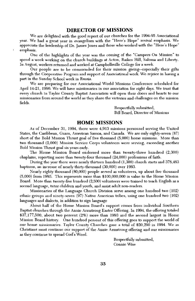### **DIRECTOR OF MISSIONS**

We are delighted with the good report of our churches for the 1994-95 Associational year. We had a great year in evangelism with the "Here's Hope" revival emphasis. We appreciate the leadership of Dr. James Jones and those who worked with the "Here's Hope" emphasis.

One of the highlights of the year was the coming of the "Campers On Mission" to spend a week working on the church buildings at Acton, Raikes Hill, Saloma and Liberty. In August, workers returned and worked at Campbellsville College for a week.

Our people are to be commended for their mission giving-especially their gifts through the Cooperative Program and support of Associational work. We rejoice in having a part in the Sunday School work in Russia.

We are preparing for our Associational World Missions Conference scheduled for April 14-21, 1996. We will have missionaries in our association for eight days. We trust that every church in Taylor County Baptist Association will open their doors and hearts to our missionaries from around the world as they share the victories and challenges on the mission fields.

> Respectfully submitted, **Bill Beard, Director of Missions**

### **HOME MISSIONS**

As of December 31, 1994, there were 4,913 missions personnel serving the United States, the Caribbean, Guam, American Samoa, and Canada. We are only eighty-seven (87) short of the Bold Mission Thrust goal of five thousand (5,000) home missions. More than two thousand (2,000) Mission Service Corps volunteers were serving, exceeding another Bold Mission Thrust goal six years early.

The Home Mission Board endorsed more than twenty-three hundred (2,300) chaplains, reporting more than twenty-four thousand (24,000) professions of faith.

During the year there were nearly thirteen hundred (1,300) church starts and 378,463 baptisms, an increase of nearly thirty-thousand (30,000) over 1993.

Nearly eighty thousand (80,000) people served as volunteers, up about five thousand  $(5,000)$  from 1993. This represents more than \$100,000,000 in value to the Home Mission Board. More than twenty-five hundred (2,500) volunteers were trained to teach English as a second language, tutor children and youth, and assist adult non-readers.

Missionaries of the Language Church Division serve among one hundred two (102) ethnic groups and ninety-seven (97) Native American tribes, using one hundred two (102) languages and dialects, in addition to sign language

About half of the Home Mission Board's support comes from individual Southern Baptist churches through the Annie Armstrong Easter Offering. In 1994, the offering totaled \$37,177,500, about two percent (2%) more than 1993 and the second largest in Home Mission Board history. One hundred percent of this offering goes to support the world of our home missionaries. Taylor County Churches gave a total of \$20,290 in 1994. We as Christians must continue our support of the Annie Armstrong offering and our missionaries as they continue to spread God's Word.

> Respectfully submitted, Connie Wise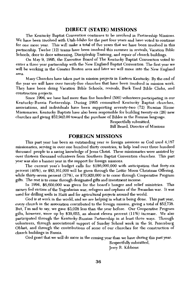### **DIRECT (STATE) MISSIONS**

The Kentucky Baptist Convention continues to be involved in Partnership Missions. We have been involved with Utah-Idaho for the past four years and have voted to continue for one more year. This will make a total of five years that we have been involved in this partnership. Twelve (12) teams have been involved this summer in revivals, Vacation Bible Schools, door to door witnessing, Discipleship Training, and repair of church buildings.

On May 9, 1995, the Executive Board of The Kentucky Baptist Convention voted to enter a three year partnership with the New England Baptist Convention. The first vear we will be working in the Greater Boston area and later we will move into the New England area.

Many Churches have taken part in mission projects in Eastern Kentucky. By the end of the year we will have over twenty-five churches that have been involved in mission work. They have been doing Vacation Bible Schools, revivals, Back Yard Bible Clubs, and construction projects.

Since 1994, we have had more than five hundred (500) volunteers participating in our Kentucky-Russia Partnership. During 1995 committed Kentucky Baptist churches, associations, and individuals have been supporting seventy-two (72) Russian Home Missionaries. Kentucky Baptists have also been responsible for building twenty-six (26) new churches and giving \$52,942.00 toward the purchase of Bibles in the Russian language.

> Respectfully submitted, Bill Beard, Director of Missions

#### **FOREIGN MISSIONS**

This past year has been an outstanding year in foreign missions as God used 4,187 missionaries, serving in over one hundred thirty countries, to help lead over three hundred thousand people to a saving knowledge of Jesus Christ. These missionaries were assisted by over thirteen thousand volunteers from Southern Baptist Convention churches. This past year was also a banner year in the support for foreign missions.

The current year's budget calls for \$186,000,000 with anticipation that forty-six percent (46%), or \$83,161,000 will be given through the Lottie Moon Christmas Offering, while thirty-seven percent (37%), or \$70,920,000 is to come through Cooperative Program gifts. The rest is to come through designated gifts and investment income.

In 1994, \$6,600,000 was given for the board's hunger and relief ministries. This money fed victims of the Yugoslavian war, refugees and orphans of the Rwandan war. It was used for drilling wells in Haiti and for agricultural projects around the world.

God is at work in the world, and we are helping in what is being done. This past year, every church in the association contributed to the foreign mission, giving a total of \$52,738. But, I'm sad to say, we gave \$3,028 less than the year before. Our Cooperative Program gifts, however, were up by \$39,655, an almost eleven percent  $(11\%)$  increase. We also participated through the Kentucky-Russian Partnership in at least three ways. Through volunteers, through associational support of Sunday School work in the St. Petersburg Oblast, and through the contributions of some of our churches for the construction of church buildings in Russia.

God grant that we will do more in the coming year than we have during this past year.

Respectfully submitted, Jerry R. Kibbons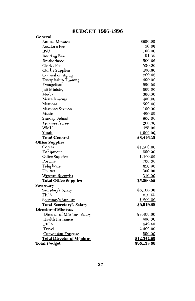### **BUDGET 1995-1996**

| General                           |             |
|-----------------------------------|-------------|
| <b>Annual Minutes</b>             | \$900.00    |
| Auditor's Fee                     | 50.00       |
| BSU                               | 100.00      |
| <b>Bonding Fee</b>                | 91.35       |
| Brotherhood                       | 500.00      |
| Clerk's Fee                       | 550.00      |
| <b>Clerk's Supplies</b>           | 100.00      |
| Council on Aging                  | 200.00      |
| Discipleship Training             | 400.00      |
| Evangelism                        | 800.00      |
| Jail Ministry                     | 600.00      |
| Media                             | 300.00      |
| Miscellaneous                     | 400.00      |
| <b>Missions</b>                   | 500.00      |
| Missions Sermon                   | 100.00      |
| Music                             | 400.00      |
| Sunday School                     | 900.00      |
| Treasurer's Fee                   | 200.00      |
| WMU                               | 325.00      |
| Youth                             | 1,000.00    |
| <b>Total General</b>              | \$8,416.35  |
| <b>Office Supplies</b>            |             |
| Copier                            | \$1,500.00  |
| Eqnipment                         | 500.00      |
| Office Supplies                   | 1,100.00    |
| Postage                           | 700.00      |
| Telephone                         | 850.00      |
| Utilities                         | 300.00      |
| Western Recorder                  | 310.00      |
| <b>Total Office Supplies</b>      | \$5,260.00  |
| Secretary                         |             |
| Secretary's Salary                | \$8,100.00  |
| <b>FICA</b>                       | 619.65      |
| Secretary's Annuity               | 1,200.00    |
| Total Secretary's Salary          | \$9,919.65  |
| <b>Director of Missions</b>       |             |
| Director of Missions' Salary      | \$8,400.00  |
| Health Insurance                  | 600.00      |
| <b>FICA</b>                       | 642.60      |
| Travel                            | 2,400.00    |
| <b>Convention Expense</b>         | 500.00      |
| <b>Total Director of Missions</b> | \$12,542.60 |
| <b>Total Budget</b>               | \$36,138.60 |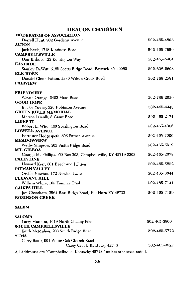### **DEACON CHAIRMEN**

| <b>MODERATOR OF ASSOCIATION</b>                                |              |
|----------------------------------------------------------------|--------------|
| Darrell Hunt, 902 Gardenia Avenue                              | 502-465-4808 |
| <b>ACTON</b>                                                   |              |
| Jack Beck, 1715 Kindness Road                                  | 502-465-7856 |
| <b>CAMPBELLSVILLE</b>                                          |              |
| Don Bishop, 123 Kensington Way                                 | 502-465-6404 |
| <b>EASTSIDE</b>                                                |              |
| Stanley DeWitt, 5185 Scotts Ridge Road, Raywick KY 40060       | 502-692-2608 |
| <b>ELK HORN</b>                                                | 502-789-2591 |
| Donald Glenn Patton, 2880 Wilson Creek Road<br><b>FAIRVIEW</b> |              |
|                                                                |              |
| <b>FRIENDSHIP</b>                                              |              |
| Wayne Orange, 2403 Moss Road                                   | 502-789-2026 |
| <b>GOOD HOPE</b>                                               |              |
| E. Poe Young, 320 Robinson Avenue                              | 502-465-4443 |
| <b>GREEN RIVER MEMORIAL</b>                                    |              |
| Marshall Caulk, 8 Grant Road                                   | 502-465-2174 |
| <b>LIBERTY</b>                                                 |              |
| Robert L. Wise, 460 Spurlington Road                           | 502-465-4366 |
| <b>LOWELL AVENUE</b>                                           |              |
| Forrester Hedgespeth, 505 Pitman Avenue                        | 502-465-7000 |
| <b>MEADOWVIEW</b>                                              | 502-465-5919 |
| Welby Simpson, 205 Smith Ridge Road<br>MT. GILBOA              |              |
| George M. Phillips, PO Box 303, Campbellsville, KY 42719-0303  | 502-465-2078 |
| <b>PALESTINE</b>                                               |              |
| Howard Kerr, 301 Beechwood Drive                               | 502-465-5852 |
| PITMAN VALLEY                                                  |              |
| Orville Newton, 172 Newton Lane                                | 502-465-3844 |
| PLEASANT HILL                                                  |              |
| William White, 105 Tammie Trail                                | 502-465-7141 |
| <b>RAIKES HILL</b>                                             |              |
| Jim Cheatham, 3564 Bass Ridge Road, Elk Horn KY 42733          | 502-465-7159 |
| <b>ROBINSON CREEK</b>                                          |              |
|                                                                |              |

### **SALEM**

| <b>SALOMA</b>                                                               |              |
|-----------------------------------------------------------------------------|--------------|
| Larry Marcum, 1019 North Chaney Pike                                        | 502-465-3906 |
| <b>SOUTH CAMPBELLSVILLE</b>                                                 |              |
| Keith McMahan, 293 Smith Ridge Road                                         | 502-465-5772 |
| <b>YUMA</b>                                                                 |              |
| Garry Bault, 904 White Oak Church Road                                      |              |
| Casey Creek, Kentucky 42743                                                 | 502-465-3927 |
| All Addresses are "Campbellsville, Kentucky 42718," unless otherwise noted. |              |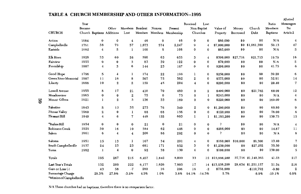### TABLE A CHURCH MEMBERSHIP AND OTHER INFORMATION--1995

| <b>CHURCH</b>                    | Year<br>Became |                    | Other<br>Church Baptisms Additions | Lost             | Members Resident | Nonres.  | Present<br>Members Members Membership | Received           | Lost<br>Non-Baptist<br>Churches | Value of<br>Property | Money<br>Borrowed  | Church<br>Debt     | Ratio<br>Members:<br>Baptisms | Messengers<br>Per<br>Article 2 |
|----------------------------------|----------------|--------------------|------------------------------------|------------------|------------------|----------|---------------------------------------|--------------------|---------------------------------|----------------------|--------------------|--------------------|-------------------------------|--------------------------------|
| Action                           | 1984           | $\bf{0}$           | $\bf{0}$                           | 4                | 46               | $\bf{0}$ | 46                                    | $\bf{0}$           | $\bf{0}$                        | \$80,000             | \$0                | \$0                | N/A                           | $\boldsymbol{4}$               |
| Campbellsville                   | 1791           | 38                 | 79                                 | 57               | 1,673            | 574      | 2,247                                 | 9                  | $\overline{4}$                  | \$7,000,000          | \$0                | \$1,061,388        | 59.13                         | 47                             |
| Eastside                         | 1982           | 4                  | 5                                  | $\mathbf{l}$     | 100              | 8        | 108                                   | $\bf{0}$           | $\mathbf 0$                     | \$85,000             | \$0                | \$0                | N/A                           | 5                              |
| Elk Horn                         | 1828           | 33                 | 60                                 | 26               | 590              | 63       | 653                                   | з                  | 4                               | \$390,000            | \$27,716           | \$21,713           | 19.79                         | 16                             |
| Fairview                         | 1955           | 0                  | $\bf{0}$                           | 3                | 83               | 39       | 122                                   | $\bf o$            | 0                               | \$70,000             | \$0                | \$0                | N/A                           | 5                              |
| Friendship                       | 1807           | 4                  | 3                                  | 6                | 144              | 23       | 167                                   | $\bf{o}$           | $\mathbf 0$                     | \$200,000            | \$0                | \$0                | 41.75                         | 6                              |
|                                  |                |                    |                                    |                  |                  |          |                                       |                    |                                 |                      |                    |                    |                               |                                |
| Good Hope                        | 1796           | 5                  | 4                                  | 1                | 174              | 22       | 196                                   | 1                  | $\mathbf 0$                     | \$250,000            | \$0                | \$0                | 39.20                         | 6                              |
| Green River Memorial             | 1907           | 11                 | 16                                 | 8                | 507              | 75       | 582                                   | $\boldsymbol{2}$   | $\bf{0}$                        | \$575,000            | \$0                | \$0                | 52.91                         | 14                             |
| Liberty                          | 1888           | 10                 | $\mathbf{2}$                       | $\boldsymbol{2}$ | 159              | 45       | 204                                   | $\overline{\bf 4}$ | $\bf{0}$                        | \$200,000            | \$0                | \$0                | 20.40                         | 7                              |
| Lowell Avenue                    | 1955           | 8                  | 17                                 | 21               | 410              | 70       | 480                                   | $\bf{0}$           | $\boldsymbol{2}$                | \$400,000            | \$0                | \$21,762           | 60.00                         | 12                             |
| Meadowview                       | 1965           | 0                  | $\bf{0}$                           | $\mathbf 2$      | 75               | $\bf{0}$ | 75                                    | $\bf{0}$           | 1                               | \$245,000            | \$0                | \$0                | N/A                           | 4                              |
| Mount Gilboa                     | 1921           | 1                  | $\overline{2}$                     | 3                | 136              | 33       | 169                                   | $\bf{0}$           | $\bf{0}$                        | \$220,000            | \$0                | \$0                | 169.00                        | 6                              |
| Palestine                        | 1843           | 5                  | 13                                 | 35               | 273              | 76       | 349                                   | 2                  | $\bf{0}$                        | \$1,200,000          | \$0                | \$0                | 69.80                         | 9                              |
| Pitman Valley                    | 1960           | $\mathbf{2}$       | $\bf{0}$                           | $\mathbf{1}$     | 88               | 68       | 156                                   | $\bf o$            | 0                               | \$120,000            | \$0                | \$0                | 78.00                         | 6                              |
| Pleasant Hill                    | 1840           | $\overline{\bf 4}$ | 6                                  | $\mathbf 7$      | 448              | 155      | 603                                   | 1                  | 1                               | \$1,185,200          | \$0                | \$0                | 150.75                        | 15                             |
| <b>*Raikes Hill</b>              | 1954           | $\bf{0}$           | $\bf{0}$                           | $\bf{0}$         | 21               | $\bf{0}$ | 21                                    | 0                  | $\bf{0}$                        | ę.                   | \$0                | \$0                | N/A                           | $\overline{\mathbf{4}}$        |
| <b>Robinson Creek</b>            | 1929           | 30                 | 16                                 | 10               | 384              | 62       | 446                                   | $\mathbf 0$        | $\bf{0}$                        | \$266,000            | \$0                | \$0                | 14.87                         | 11                             |
| Salem                            | 1861           | $\bf{0}$           | $\overline{\bf 4}$                 | $\overline{4}$   | 206              | 86       | 292                                   | $\bf{0}$           | $\bf{0}$                        | P                    | \$0                | \$0                | N/A                           | 8                              |
| Saloma                           | 1951           | 15                 | 13                                 | 1                | 167              | 34       | 201                                   | 4                  | $\bf{0}$                        |                      | \$160,000 \$10,000 | \$8,300            | 13.40                         | $\overline{7}$                 |
| South Campbellsville             | 1937           | 24                 | 23                                 | 23               | 681              | 171      | 852                                   | 3                  | 0                               | \$1,250,000          | \$0                | \$27,202           | 35.50                         | 20                             |
| Yuma                             | 1982           | 1                  | $\overline{\bf 4}$                 | $\bf{0}$         | 92               | 38       | 130                                   | 4                  | $\bf{0}$                        | \$100,000            | \$0                | \$0                | 130.00                        | 5                              |
| Totals                           |                | 195                | 267                                | 215              | 6,457            | 1,642    | 8,099                                 | 33                 |                                 | 12 \$13,996,200      |                    | 37,716 \$1,140,365 | 41.53                         | 217                            |
| Last Year's Totals               |                | 152                | 209                                | 222              | 6,177            | 1,626    | 7,803                                 | 17                 |                                 | 14 \$13,238,200      |                    | 28,634 \$1,251,157 | 51.34                         | 216                            |
| Gain or Loss (-)                 |                | 43                 | 58                                 | $-7$             | 280              | 16       | 296                                   | 16                 | $-2$                            | \$758,000            |                    | $-110,792$         | $-9.80$                       | $\boldsymbol{2}$               |
| Percentage Change                |                | 28.3%              | 27.8%                              | $-3.2%$          | 4.5%             | 1.0%     | 3.8%                                  | 94.1%              | $-14.3%$                        | 5.7%                 |                    | $-8.9%$            | $-19.1%$                      | 0.8%                           |
| <i>Mission of Campbellsville</i> |                |                    |                                    |                  |                  |          |                                       |                    |                                 |                      |                    |                    |                               |                                |

Allotted

N/A These churches had no baptisms, therefore there is no comparison factor.

39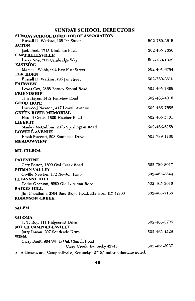### **SUNDAY SCHOOL DIRECTORS**

| <b>SUNDAY SCHOOL DIRECTOR OF ASSOCIATION</b> |              |
|----------------------------------------------|--------------|
| Russell D. Watkins, 195 Jan Street           | 502-789-3615 |
| <b>ACTON</b>                                 |              |
| Jack Beck, 1715 Kindness Road                | 502-465-7856 |
| <b>CAMPBELLSVILLE</b>                        |              |
| Larry Noe, 206 Cambridge Way                 | 502-789-1339 |
| <b>EASTSIDE</b>                              |              |
| Marshall Webb, 602 East First Street         | 502-465-6754 |
| <b>ELK HORN</b>                              |              |
| Russell D. Watkins, 195 Jan Street           | 502-789-3615 |
| <b>FAIRVIEW</b>                              |              |
| Lewis Cox, 2868 Barney School Road           | 502-465-7869 |
| <b>FRIENDSHIP</b>                            |              |
| Tim Hayes, 1432 Fairview Road                | 502-465-4018 |
| <b>GOOD HOPE</b>                             |              |
| Lynwood Newton, 417 Lowell Avenue            | 502-465-7652 |
| <b>GREEN RIVER MEMORIAL</b>                  |              |
| Harold Cruse, 1809 Hatcher Road              | 502-465-5401 |
| <b>LIBERTY</b>                               |              |
| Stanley McCubbin, 2075 Spurlington Road      | 502-465-6258 |
| <b>LOWELL AVENUE</b>                         |              |
| Frank Piacenti, 208 Southside Drive          | 502-789-1786 |
| <b>MEADOWVIEW</b>                            |              |
| MT. GILBOA                                   |              |

**PALESTINE** Gary Porter, 1600 Owl Creek Road 502-789-8017 PITMAN VALLEY Orville Newton, 172 Newton Lane 502-465-3844 PLEASANT HILL Eddie Obanion, 6220 Old Lebanon Road 502-465-3610 **RAIKES HILL** Jim Cheatham, 3564 Bass Ridge Road, Elk Horn KY 42733 502-465-7159 **ROBINSON CREEK** 

### **SALEM**

| <b>SALOMA</b>                                                               |              |
|-----------------------------------------------------------------------------|--------------|
| L. T. Roy, 111 Ridgecrest Drive                                             | 502-465-3706 |
| <b>SOUTH CAMPBELLSVILLE</b>                                                 |              |
| Jerry Inman, 207 Southside Drive                                            | 502-465-4529 |
| <b>YUMA</b>                                                                 |              |
| Garry Bault, 904 White Oak Church Road                                      |              |
| Casey Creek, Kentucky 42743                                                 | 502-465-3927 |
| All Addresses are "Campbellsville. Kentucky 42718." unless otherwise noted. |              |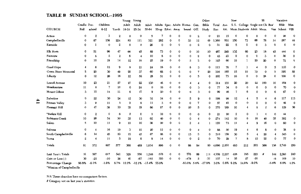### TABLE B SUNDAY SCHOOL--1995

|                            |                  | Other<br>Young Young |             |                  |          | New                     |             |       |              | SS<br>Vacation |                                |                     |             |       |       |                |                                  |             |                  |             |              |             |
|----------------------------|------------------|----------------------|-------------|------------------|----------|-------------------------|-------------|-------|--------------|----------------|--------------------------------|---------------------|-------------|-------|-------|----------------|----------------------------------|-------------|------------------|-------------|--------------|-------------|
|                            | Cradle Pre-      |                      | Children    |                  | Adult    | Adult                   | Adult       |       |              |                | Adults Spec. Adults Home- Gen. |                     | Bible       | Total | Ave.  |                | S.S. College Single not Ch. Bus/ |             |                  |             | <b>Bible</b> | Miss.       |
| CHURCH                     | Roll             | school               | $6 - 12$    | Youth            | 18-24    | 25-34                   | 35-64       |       |              |                | 55-up Educ. Away bound Off.    |                     | Study       | Enr.  |       |                | Att. Mem. Students Adult Mem.    |             |                  |             | Van School   | <b>VBS</b>  |
| Action                     | $\mathbf{0}$     | $\boldsymbol{2}$     | 3           | $\boldsymbol{2}$ | $\bf{0}$ | $\mathbf 0$             | 5           |       |              | 0              | $\Omega$                       | $\overline{2}$      | $\mathbf 0$ | 21    | 15    | $\bf{0}$       | 0                                | $\Omega$    | 0                | $\mathbf 0$ | 26           | $\mathbf 0$ |
| Campbellsville             | $\mathbf 0$      | 87                   | 158         | 224              | 83       | 111                     | 321         | 282   | 0            | 0              | 33                             | 12                  | 49          | 1,360 | 531   | 150            | 73                               | 68          | 78               | 14          | 287          | 44          |
| Eastside                   | 0                | 1                    | $\mathbf 0$ | $\boldsymbol{2}$ | $\bf{0}$ | $\mathbf 0$             | 26          | 0     | $\mathbf 0$  | 0              | $\mathbf 0$                    | $\overline{2}$      | 0           | 31    | 22    | 5              | 0                                | 0           | 3                | $\mathbf 0$ | $\circ$      | 0           |
| Elk Hom                    | 0                | 51                   | 96          | 47               | 66       | 45                      | 89          | 73    | 0            | 0              | 0                              | 10                  | 10          | 487   | 249   | 132            | 66                               | 23          | 18               | 45          | 444          | $\mathbf 0$ |
| Fairview                   | 0                | 6                    | 5           | $\overline{2}$   | 6        | $\overline{\mathbf{4}}$ | 10          | 8     | $\mathbf 0$  | 0              | 0                              | $\boldsymbol{2}$    | 0           | 43    | 23    | $\bf{0}$       | $\mathbf{0}$                     | $\mathbf 0$ | 3                | 0           | 36           | 0           |
| Friendship                 | $\mathbf 0$      | 10                   | 19          | 14               | 12       | 18                      | 25          | 19    | $\mathbf 0$  | $\mathbf 0$    | 5                              | 3                   | $\mathbf 0$ | 125   | 60    | 10             | 1                                | 20          | 20               | $\mathbf 0$ | 72           | $\bf{0}$    |
| Good Hope                  | 4                | 6                    | 12          | 9                | 8        | 21                      | 24          | 18    | 0            | 0              | 8                              | 3                   | $\mathbf 0$ | 113   | 76    | 7              | 1                                | 4           | 0                | 5           | 110          | 0           |
| Green River Memorial       | 5                | 20                   | 30          | 49               | 20       | 37                      | 60          | 68    | 0            | 0              | 0                              | 7                   | 20          | 316   | 185   | 15             | 10                               | 10          | 0                | 5           | 195          | 55          |
| Liberty                    | 0                | 12                   | 26          | 16               | 12       | 52                      | 28          | 51    | 0            | 0              | 0                              | 5                   | $\mathbf 0$ | 202   | 75    | 16             | 0                                | 0           | 28               | $\mathbf 0$ | 100          | 0           |
| Lowell Avenue              | 10               | 23                   | 21          | 27               | 27       | 22                      | 130         | 46    | 0            | 0              | 4                              | $\overline{4}$      | $\mathbf 0$ | 314   | 135   | 20             | 20                               | 22          | 100              | 10          | 164          | $\bf{0}$    |
| Meadowview                 | 11               | 6                    | 7           | 10               | 0        | 24                      | $\mathbf 0$ | 16    | 0            | 0              | 0                              | 3                   | $\mathbf 0$ | 77    | 34    | $\mathbf 0$    | 0                                | 0           | $\mathbf 0$      | 0           | 70           | 0           |
| Mount Gilboa               | 3                | 10                   | 14          | 11               | 6        | 17                      | 9           | 20    | 0            | 0              | 6                              | 3                   | 0           | 99    | 46    | 7              | 6                                | $\Omega$    | 0                | 6           | 67           | $\bf{0}$    |
| Palestine                  | $\Omega$         | 22                   | 30          | 24               | 12       | 30                      | 32          | 34    | 0            | 0              | 5                              | 9                   | 0           | 198   | 99    | 12             | 4                                | 5           | 4                | 6           | 117          | 115         |
| Pitman Valley              | 3                | 9                    | 11          | 5                | 0        | 8                       | 11          | 3     | $\mathbf 0$  | 0              | 0                              | 7                   | $\mathbf 0$ | 57    | 40    | $\mathbf 0$    | $\mathbf 0$                      | $\Omega$    | 0                | $\mathbf 0$ | 46           | $\bf{0}$    |
| <b>Pleasant Hill</b>       | 0                | 47                   | 38          | 33               | 35       | 19                      | 86          | 87    | 0            | 0              | 20                             | 5                   | $\bf{0}$    | 370   | 189   | 10             | 4                                | $\mathbf 0$ | $\boldsymbol{2}$ | 6           | 129          | 36          |
| *Raikes Hill               | 0                | 2                    | 0           | 6                | 0        | 0                       | 3           | 10    | 0            | 0              | 0                              | 0                   | $\bf{0}$    | 21    | 20    | $\overline{2}$ | $\mathbf 0$                      | -1          | 4                | 0           | 44           |             |
| <b>Robinson Creek</b>      | 10               | 26                   | 54          | 30               | 35       | 13                      | 62          | 40    | $\mathbf 0$  | 0              | 0                              | 4                   | $\mathbf 0$ | 274   | 142   | 10             | 6                                | 16          | 40               | 35          | 302          | 0           |
| Salem                      | 5                | 10                   | 11          | 9                | 10       | 10                      | 38          | 20    | $\mathbf 0$  | 0              | $\overline{2}$                 | $\overline{\bf{4}}$ | 1           | 120   | 73    | 11             | 4                                | 9           | 16               | $\mathbf 0$ | 60           | 0           |
| Saloma                     | 0                | 4                    | 16          | 19               | 3        | 10                      | 20          | 12    | $\mathbf{o}$ | $\mathbf 0$    | $\mathbf 0$                    | 4                   | 0           | 88    | 50    | 19             | 4                                | 6           | 8                | $\Omega$    | 58           | $\bf{0}$    |
| South Campbellsville       | 8                | 14                   | 45          | 33               | 15       | 42                      | 67          | 68    | $\mathbf{o}$ | 0              | 15                             | 3                   | 0           | 310   | 158   | 30             | 5                                | 4           | 20               | 4           | 345          | 0           |
| Yuma                       | $\boldsymbol{2}$ | 4                    | 11          | 5                | 18       | 6                       | 8           | 14    | $\mathbf 0$  | 0              | $\mathbf 0$                    | $\mathbf{2}$        | 0           | 70    | 29    | 7              | 8                                | 15          | 22               | $\mathbf 0$ | 77           | 0           |
| Totals                     | 61               | 372                  | 607         | 577              | 368      | 489                     | 1,054       | 896   | $\mathbf 0$  | 0              | 98                             | 94                  | 80          | 4,696 | 2,251 | 463            | 212                              | 203         | 366              | 136         | 2,749        | 250         |
| Last Year's Totals         | 31               | 397                  | 617         | 541              | 328      | 556                     | 1,246       | 576   | 0            | 0              | 576                            | 89                  | 111         | 4,559 | 2,237 | 428            | 185                              | 223         |                  | 144         | 2,580        | 240         |
| Gain or Loss (-)           | 30               | $-25$                | $-10$       | 36               | 40       | $-67$                   | $-192$      | 320   | 0            | 0              | $-478$                         | 5                   | $-31$       | 137   | 14    | 35             | 27                               | $-20$       |                  | -8          | 169          | 10          |
| Percentage Change          | 96.8%            | $-6.3%$              | $-1.6%$     | 6.7%             | 12.2%    | $-12.1%$                | $-15.4%$    | 55.6% |              |                | $-83.0%$                       | 5.6%                | $-27.9%$    | 3.0%  | 0.6%  | 8.2%           | 14.6%                            | $-9.0\%$    |                  | $-5.6%$     | 6.6%         | 4.2%        |
| *Mission of Campbellsville |                  |                      |             |                  |          |                         |             |       |              |                |                                |                     |             |       |       |                |                                  |             |                  |             |              |             |

N/A These churches have no comparison factors.

# Category not on last year's statistics.

 $\mathbf{f}_1$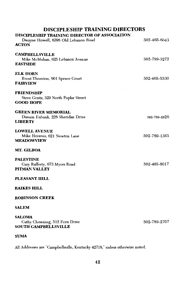### DISCIPLESHIP TRAINING DIRECTORS

### DISCIDI ESHID TRAINING DIRECTOR OF ASSOCIATION

| лгызын таавим гливеток от жер<br>Dwayne Howell, 6398 Old Lebanon Road<br><b>ACTON</b> | 502-465-6643 |
|---------------------------------------------------------------------------------------|--------------|
| <b>CAMPBELLSVILLE</b><br>Mike McMahan, 625 Lebanon Avenue<br><b>EASTSIDE</b>          | 502-789-3272 |
| <b>ELK HORN</b><br>Brent Thornton, 901 Spruce Court<br><b>FAIRVIEW</b>                | 502-465-5530 |
| <b>FRIENDSHIP</b><br>Steve Gentz, 529 North Poplar Street<br><b>GOOD HOPE</b>         |              |
| <b>GREEN RIVER MEMORIAL</b><br>Damon Eubank, 228 Sheridan Drive<br><b>LIBERTY</b>     | 502-789-2926 |
| <b>LOWELL AVENUE</b><br>Mike Hovious, 621 Newton Lane<br><b>MEADOWVIEW</b>            | 502-789-1363 |
| MT. GILBOA                                                                            |              |
| <b>PALESTINE</b><br>Gary Rafferty, 673 Myers Road<br>PITMAN VALLEY                    | 502-465-8017 |
| PLEASANT HILL                                                                         |              |
| <b>RAIKES HILL</b>                                                                    |              |
| <b>ROBINSON CREEK</b>                                                                 |              |
| <b>SALEM</b>                                                                          |              |
| <b>SALOMA</b><br>Cathy Chowning, 512 Fern Drive<br><b>SOUTH CAMPBELLSVILLE</b>        | 502-789-2707 |

### **YUMA**

All Addresses are "Campbellsville, Kentucky 42718," unless otherwise noted.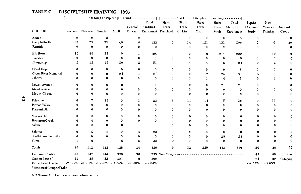### TABLE C DISCIPLESHIP TRAINING 1995

|                            | <u>.</u>           |              |                | Ongoing Discipleship Training |             |                      |                    | -----------] [-------- Short Term Discipleship Training- |              |                    |                     |                |             |              |
|----------------------------|--------------------|--------------|----------------|-------------------------------|-------------|----------------------|--------------------|----------------------------------------------------------|--------------|--------------------|---------------------|----------------|-------------|--------------|
|                            |                    |              |                |                               |             | Total                | Short              | Short                                                    | Short        | Short              | Total               | <b>Baptist</b> | New         |              |
|                            |                    |              |                |                               | General     | Ongoing              | Term               | Term                                                     | Term         | Term               | Short Term Doctrine |                | Member      | Support      |
| <b>CHURCH</b>              | Preschool Children |              | Youth          | Adult                         | Officers    | Enrollment Preschool |                    | Children                                                 | Youth        | Adult              | Enrollment          | Study          | Training    | Group        |
| Action                     | 0                  | 0            | $\mathbf 2$    | 7                             | 2           | 11                   | 0                  | $\bf{0}$                                                 | $\bf{0}$     | $\bf{0}$           | $\mathbf 0$         | 5              | $\mathbf 0$ | $\mathbf{0}$ |
| Campbellsville             | 12                 | 29           | 37             | 49                            | 6           | 133                  | $\bf{0}$           | 14                                                       | 121          | 131                | 266                 | $\Omega$       |             | 39           |
| Eastside                   | $\Omega$           | $\bf{0}$     | $\bf{0}$       | $\bf{0}$                      | $\bf{0}$    | $\mathbf 0$          | $\bf{0}$           | $\bf{0}$                                                 | $\bf{0}$     | $\bf{0}$           | $\bf{0}$            | $\bf{0}$       | $\bf{0}$    | $\mathbf{0}$ |
| Elk Horn                   | 25                 | 49           | 33             | $\bf{0}$                      | 1           | 108                  | $\bf{0}$           | 0                                                        | 76           | 214                | 290                 | $\bf{0}$       | 10          | $\mathbf{0}$ |
| Fairview                   | $\bf{0}$           | $\mathbf 0$  | $\bf{0}$       | $\bf{0}$                      | $\bf{0}$    | $\mathbf 0$          | $\bf{0}$           | 0                                                        | $\bf{0}$     | $\bf{0}$           | $\bf{0}$            | $\mathbf 0$    | $\bf{0}$    | $\Omega$     |
| Friendship                 | $\mathbf{2}$       | 12           | 15             | 20                            | 2           | 51                   | $\bf{0}$           | 4                                                        | 5            | 15                 | 24                  | $\bf{0}$       | 2           |              |
| Good Hope                  | $\bf{0}$           | 0            | 0              | 0                             | 0           | 0                    | 0                  | 0                                                        | 0            | $\bf{0}$           | $\bf{0}$            | $\mathbf 0$    | 0           | $\bf{0}$     |
| Green River Memorial       | $\mathbf{0}$       | 0            | $\bf{0}$       | 24                            | 3           | 27                   | 0                  | 0                                                        | 12           | 25                 | 37                  | 15             | 8           | $\bf{0}$     |
| Liberty                    | $\Omega$           | 0            | $\bf{0}$       | $\bf{0}$                      | 0           | $\mathbf{0}$         | $\bf{0}$           | 3                                                        | $\mathbf{l}$ | $\overline{\bf 4}$ | 8                   | $\bf{0}$       | 8           | $\bf{0}$     |
| Lowell Avenue              | 0                  | 0            | 0              | 0                             |             |                      | 0                  | 0                                                        | $\bf{0}$     | 21                 | 21                  | $\bf{0}$       | 0           | $\Omega$     |
| Meadowview                 | $\bf{0}$           | $\bf{0}$     | $\bf{0}$       | 0                             | 0           | $\Omega$             | 0                  | 0                                                        | 0            | $\mathbf 0$        | $\bf{0}$            | $\mathbf 0$    | $\Omega$    |              |
| Mount Gilboa               | $\bf{0}$           | 0            | $\bf{0}$       | 0                             | 0           | $\mathbf{0}$         | $\bf{0}$           | $\bf{0}$                                                 | $\bf{0}$     | 0                  | $\bf{0}$            | $\bf{0}$       | $\bf{0}$    |              |
| Palestine                  | $\bf{0}$           | 7            | 13             | 0                             | 3           | 23                   | 6                  | 11                                                       | 14           | 5                  | 36                  | $\bf{0}$       | 11          |              |
| Pitman Valley              | $\bf{0}$           | $\bf{0}$     | $\bf{0}$       | 0                             | $\bf{0}$    | $\bf{0}$             | 0                  | 0                                                        | $\mathbf 0$  | 0                  | 0                   | $\bf{0}$       | 0           |              |
| Pleasant Hill              | $\Omega$           | 0            | $\bf{0}$       | 0                             | 0           | $\mathbf{0}$         | $\Omega$           | $\bf{0}$                                                 | $\bf{0}$     | $\Omega$           | $\bf{0}$            | $\mathbf{0}$   | $\Omega$    |              |
| <b>*Raikes Hill</b>        | 0                  | 0            | $\bf{0}$       | 0                             | 0           | $\bf{0}$             | $\bf{0}$           | $\bf{0}$                                                 | 0            | 0                  | 0                   | 0              | $\bf{0}$    |              |
| <b>Robinson Creek</b>      | 0                  | $\bf{0}$     | $\mathbf{0}$   | 0                             | 0           | $\mathbf{0}$         | 0                  | 0                                                        | 0            | $\bf{0}$           | $\bf{0}$            | 0              | $\bf{0}$    |              |
| Salem                      | $\Omega$           | $\mathbf{0}$ | $\mathbf{0}$   | 10                            |             | 11                   | $\bf{0}$           | 0                                                        | $\bf{0}$     | $\bf{0}$           | 0                   | $\Omega$       | 0           | 0            |
| Saloma                     | $\Omega$           | 5            | 15             | 0                             | 3           | 23                   | 0                  | 0                                                        | $\mathbf 0$  | $\bf{0}$           | $\bf{0}$            | 0              | 0           | 0            |
| South Campbellsville       | $\mathbf 0$        | $\bf{0}$     | $\mathbf 0$    | $\Omega$                      | 0           | $\bf{0}$             | 0                  | 0                                                        | $\bf{0}$     | 28                 | 28                  | $\Omega$       | $\bf{0}$    |              |
| Yuma                       |                    | 10           | $\overline{7}$ | 18                            | $\mathbf 2$ | 38                   | $\bf{0}$           | $\bf{0}$                                                 | $\bf{0}$     | $\bf{0}$           | $\bf{0}$            | $\Omega$       | $\bf{0}$    |              |
| Totals                     | 40                 | 112          | 122            | 128                           | 24          | 426                  | 6                  | 32                                                       | 229          | 443                | 710                 | 20             | 39          | 39           |
| Last Year's Totals         | 55                 | 147          | 144            | 359                           | 30          |                      | 735 New Categories |                                                          |              |                    |                     | 44             | 68          | New          |
| Gain or Loss (-)           | $-15$              | $-35$        | $-22$          | $-231$                        | $-6$        | $-309$               |                    |                                                          |              |                    |                     | $-24$          | $-29$       | Category     |
| Percentage Change          | $-27.27%$          | $-23.81%$    | $-15.28%$      | $-64.35%$                     | $-20.00%$   | $-42.04%$            |                    |                                                          |              |                    |                     | $-54.55%$      | $-42.65%$   |              |
| "Mission of Campbellsville |                    |              |                |                               |             |                      |                    |                                                          |              |                    |                     |                |             |              |

N/A These churches have no comparison factors.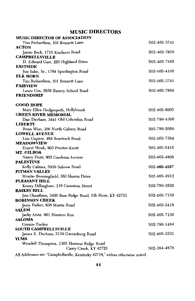### **MUSIC DIRECTORS**

| <b>MUSIC DIRECTOR OF ASSOCIATION</b>                                        |              |
|-----------------------------------------------------------------------------|--------------|
| Tim Richardson, 101 Bennett Lane                                            | 502-465-3741 |
| <b>ACTON</b>                                                                |              |
| Jamie Beck, 1715 Kindness Road                                              | 502-465-7856 |
| <b>CAMPBELLSVILLE</b>                                                       |              |
| D. Edward Garr, 225 Highland Drive                                          | 502-465-7462 |
| <b>EASTSIDE</b>                                                             |              |
| Jim Sabo, Sr., 1784 Spurlington Road<br><b>ELK HORN</b>                     | 502-465-4100 |
| Tim Richardson, 101 Bennett Lane                                            | 502-465-3741 |
| <b>FAIRVIEW</b>                                                             |              |
| Lewis Cox, 2628 Barney School Road                                          | 502-465-7869 |
| <b>FRIENDSHIP</b>                                                           |              |
|                                                                             |              |
| <b>GOOD HOPE</b>                                                            |              |
| Mary Ellen Hedgespeth, Hollybrook                                           | 502-465-8905 |
| <b>GREEN RIVER MEMORIAL</b>                                                 |              |
| Dan Durham, 3441 Old Columbia Road                                          | 502-789-4306 |
| LIBERTY                                                                     |              |
| Brian Wise, 160 North Calvary Road                                          | 502-789-2656 |
| <b>LOWELL AVENUE</b>                                                        |              |
| Lisa Gupton, 484 Beartrack Road                                             | 502-465-7394 |
| <b>MEADOWVIEW</b>                                                           |              |
| Ernest Houk, 803 Proctor-Knott<br><b>MT. GILBOA</b>                         | 502-465-5415 |
| Nancy Hunt, 902 Gardenia Avenue                                             | 502-465-4808 |
| <b>PALESTINE</b>                                                            |              |
| Kelly Calmes, 5939 Saloma Road                                              | 502-465-4527 |
| PITMAN VALLEY                                                               |              |
| Montie Benningfield, 363 Sharon Drive                                       | 502-465-4912 |
| <b>PLEASANT HILL</b>                                                        |              |
| Kenny Dillingham, 118 Carnation Street                                      | 502-789-3820 |
| <b>RAIKES HILL</b>                                                          |              |
| Jim Cheatham, 3420 Bass Ridge Road, Elk Horn, KY 42733                      | 502-465-7159 |
| <b>ROBINSON CREEK</b>                                                       |              |
| Jerry Parker, 838 Martin Road                                               | 502-465-3418 |
| <b>SALEM</b>                                                                |              |
| Jacky Arvin. 601 Hunters Run<br><b>SALOMA</b>                               | 502-465-7139 |
| Connie Tucker                                                               | 502-789-1484 |
| <b>SOUTH CAMPBELLSVILLE</b>                                                 |              |
| James E. Durham, 2134 Greensburg Road                                       | 502-465-3331 |
| YUMA                                                                        |              |
| Wendell Thompson, 1305 Hovious Ridge Road                                   |              |
| Casey Creek, KY 42723                                                       | 502-384-4876 |
| All Addresses are "Campbellsville, Kentucky 42718," unless otherwise noted. |              |
|                                                                             |              |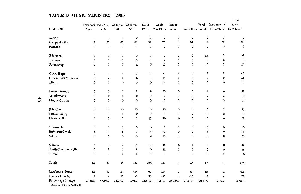### TABLE D MUSIC MINISTRY 1995

|                            |              |                     |              |                |                         |             |                  |             |             |                              | Total      |
|----------------------------|--------------|---------------------|--------------|----------------|-------------------------|-------------|------------------|-------------|-------------|------------------------------|------------|
|                            |              | Preschool Preschool | Children     | Children       | Youth                   | Adult       | Senior           |             | Vocal       | Instrumental                 | Music      |
| <b>CHURCH</b>              | 3 yrs.       | 4, 5                | $6-8$        | $9 - 11$       | 12-17                   | 18 & Older  | Adult            |             |             | Handbell Ensambles Ensambles | Enrollment |
| Action                     | $\mathbf 0$  | $\mathbf 0$         | $\mathbf{o}$ | 0              | $\mathbf 0$             | 0           | $\pmb{0}$        | 0           | 0           | $\bf{0}$                     | 0          |
| Campbellsville             | 12           | 23                  | 67           | 82             | 51                      | 75          | 0                | 54          | 5           | 21                           | 390        |
| Eastside                   | $\mathbf{o}$ | $\mathbf 0$         | $\bf{0}$     | $\mathbf 0$    | $\mathbf 0$             | $\mathbf 0$ | $\mathbf 0$      | $\mathbf 0$ | 0           | $\bf{0}$                     | 0          |
| Elk Horn                   | $\mathbf 0$  | $\bf{0}$            | $\mathbf 0$  | $\bf{0}$       | $\bf{0}$                | 0           | 0                | 0           | 25          | 7                            | 32         |
| Fairview                   | $\mathbf 0$  | $\mathbf 0$         | $\mathbf 0$  | 0              | $\mathbf 0$             | $\mathbf 2$ | $\bf{0}$         | 0           | 0           | $\mathbf 0$                  | $\bf{2}$   |
| Friendship                 | 0            | 0                   | 0            | $\overline{2}$ | 5                       | 15          | 0                | $\mathbf 0$ | 0           | 3                            | 25         |
| Good Hope                  | 2            | 3                   | 4            | 5              | $\overline{\mathbf{4}}$ | 20          | $\mathbf 0$      | $\bf{0}$    | 8           | 0                            | 46         |
| Green River Memorial       | $\mathbf 0$  | $\mathbf 2$         | 4            | 6              | 16                      | 16          | $\bf{0}$         | $\bf{0}$    | 7           | $\mathbf 0$                  | 51         |
| Liberty                    | $\Omega$     | $\mathbf 0$         | 0            | 0              | $\bf{0}$                | 14          | $\mathbf{o}$     | 0           | $\pmb{0}$   | $\mathbf 0$                  | 14         |
| Lowell Avenue              | $\mathbf 0$  | 0                   | $\mathbf 0$  | 0              | 8                       | 30          | $\bf{0}$         | 0           | 9           | $\mathbf 0$                  | 47         |
| Meadowview                 | $\mathbf 0$  | $\bf{0}$            | $\mathbf 0$  | 0              | 0                       | 0           | 0                | 0           | 0           | 3                            | 3          |
| Mount Gilboa               | $\bf{0}$     | $\mathbf 0$         | $\mathbf{o}$ | $\mathbf{0}$   | $\mathbf{0}$            | 15          | $\mathbf 0$      | $\bf{0}$    | 0           | $\bf{0}$                     | 15         |
| Palestine                  | 5            | 10                  | 10           | 15             | 10                      | 25          | $\bf{0}$         | 0           | 5           | $\boldsymbol{2}$             | 82         |
| Pitman Valley              | $\mathbf{0}$ | $\mathbf{0}$        | $\mathbf 0$  | $\mathbf{0}$   | $\bf{0}$                | 3           | $\bf{0}$         | $\bf{0}$    | $\bf{0}$    | $\mathbf 0$                  | 3          |
| Pleasant Hill              | $\Omega$     | $\mathbf 0$         | $\mathbf{o}$ | $\mathbf 0$    | 12                      | 20          | $\bf{0}$         | $\mathbf 0$ | 0           | $\mathbf{0}$                 | 32         |
| <b>Raikes Hill</b>         | $\bf{0}$     | $\bf{0}$            | $\bf{0}$     | $\bf{0}$       | $\mathbf 0$             | $\mathbf 0$ | $\mathbf 0$      | $\bf{0}$    | $\bf{0}$    | $\bf{0}$                     | $\bf{0}$   |
| Robinson Creek             | 6            | 10                  | $11\,$       | 6              | 5                       | 30          | $\mathbf 0$      | $\mathbf 0$ | 8           | $\mathbf 0$                  | 76         |
| Salem                      | $\bf{0}$     | $\mathbf 0$         | $\mathbf 0$  | 3              | $\boldsymbol{2}$        | 15          | $\mathbf 0$      | $\Omega$    | $\mathbf 0$ | $\Omega$                     | 20         |
| Saloma                     | 4            | 3                   | $\bf 2$      | 5              | 12                      | 15          | 6                | $\mathbf 0$ | 0           | $\mathbf 0$                  | 47         |
| South Campbellsville       | $\bf{0}$     | 8                   | 0            | 8              | $\mathbf 0$             | 22          | 0                | $\mathbf 0$ | $\mathbf 0$ | $\mathbf{0}$                 | 38         |
| Yuma                       | $\mathbf{0}$ | 0                   | 0            | $\mathbf{o}$   | $\bf{0}$                | 3           | $\mathbf 0$      | $\mathbf 0$ | 0           | $\mathbf 0$                  | 3          |
| Totals                     | 29           | 59                  | 98           | 132            | 125                     | 320         | 6                | 54          | 67          | 36                           | 926        |
| Last Year's Totals         | 22           | 40                  | 83           | 134            | 92                      | 356         | $\boldsymbol{2}$ | 69          | 24          | 32                           | 854        |
| Gain or Loss (-)           | 7            | 19                  | 15           | $-2$           | 33                      | $-36$       | $\boldsymbol{4}$ | $-15$       | 43          | $\boldsymbol{4}$             | 72         |
| Percentage Change          | 31.82%       | 47.50%              | 18.07%       | $-1.49%$       | 35.87%                  | $-10.11%$   | 200.00%          | $-21.74%$   | 179.17%     | 12.50%                       | 8.43%      |
| *Mission of Campbellsville |              |                     |              |                |                         |             |                  |             |             |                              |            |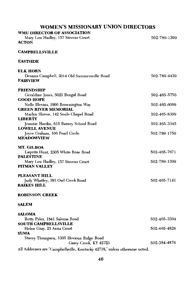### WOMEN'S MISSIONARY UNION DIRECTORS

| <b>WMU DIRECTOR OF ASSOCIATION</b>                                          |              |
|-----------------------------------------------------------------------------|--------------|
| Mary Lou Hadley, 157 Stevens Court                                          | 502-789-1399 |
| <b>ACTON</b>                                                                |              |
| <b>CAMPBELLSVILLE</b>                                                       |              |
| <b>EASTSIDE</b>                                                             |              |
| <b>ELK HORN</b>                                                             |              |
| Deanna Campbell, 2014 Old Summersville Road<br><b>FAIRVIEW</b>              | 502-789-4439 |
| <b>FRIENDSHIP</b>                                                           |              |
| Geraldine Jones, 5025 Bengal Road                                           | 502-465-5756 |
| <b>GOOD HOPE</b>                                                            | 502-465-6069 |
| Nelle Blevins, 1906 Brownington Way<br><b>GREEN RIVER MEMORIAL</b>          |              |
| Marlyn Shreve, 142 Soule Chapel Road                                        | 502-465-8309 |
| <b>LIBERTY</b>                                                              |              |
| Jeannie Hardin, 615 Barney School Road<br><b>LOWELL AVENUE</b>              | 502-465-3345 |
| Joyce Graham, 106 Pearl Circle                                              | 502-789-1750 |
| <b>MEADOWVIEW</b>                                                           |              |
| MT. GILBOA                                                                  |              |
| Laquita Hunt, 2305 White Rose Road                                          | 502-465-7671 |
| <b>PALESTINE</b>                                                            | 502-789-1399 |
| Mary Lou Hadley, 157 Stevens Court<br>PITMAN VALLEY                         |              |
| PLEASANT HILL                                                               |              |
| Judy Whatley, 381 Owl Creek Road<br><b>RAIKES HILL</b>                      | 502-465-7141 |
| <b>ROBINSON CREEK</b>                                                       |              |
| <b>SALEM</b>                                                                |              |
| <b>SALOMA</b>                                                               |              |
| Betty Pyles, 1841 Saloma Road                                               | 502-465-3394 |
| <b>SOUTH CAMPBELLSVILLE</b>                                                 |              |
| Helen Gray, 23 Anna Court<br>YUMA                                           | 502-465-4826 |
| Stacey Thompson, 1305 Hovious Ridge Road                                    |              |
| Casey Creek, KY 42723                                                       | 502-384-4876 |
| All Addresses are "Campbellsville, Kentucky 42718," unless otherwise noted. |              |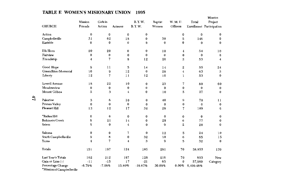|                                                 | Mission            | Girls in          |                | <b>B.Y.W.</b>        | <b>Baptist</b> | W. M. U.       | Total           | Mission<br>Project       |
|-------------------------------------------------|--------------------|-------------------|----------------|----------------------|----------------|----------------|-----------------|--------------------------|
| <b>CHURCH</b>                                   | Friends            | Action            | Acteens        | <b>B.Y.W.</b>        | Women          | Officers       |                 | Enrollment Participation |
|                                                 |                    |                   |                |                      |                |                |                 |                          |
| Action                                          | 0<br>31            | $\mathbf 0$<br>62 | $\bf{0}$<br>18 | $\bf{0}$             | 30             | 0<br>5         | $\bf{0}$<br>146 | 0                        |
| Campbellsville<br>Eastside                      | $\bf{0}$           | $\bf{0}$          | $\mathbf{0}$   | $\bf{0}$<br>$\bf{0}$ | $\bf{0}$       | $\bf{0}$       | $\theta$        | 0<br>$\bf{0}$            |
|                                                 |                    |                   |                |                      |                |                |                 |                          |
| Elk Horn                                        | 20                 | 20                | $\bf{0}$       | $\bf{0}$             | 10             | $\overline{4}$ | 54              | 10                       |
| Fairview                                        | $\bf{0}$           | $\bf{0}$          | $\bf{0}$       | $\bf{0}$             | $\bf{0}$       | $\bf{0}$       | $\bf{0}$        | $\bf{0}$                 |
| Friendship                                      | 4                  | 7                 | 8              | 12                   | 20             | $\mathbf{2}$   | 53              | 4                        |
| Good Hope                                       | 9                  | $_{11}$           | 5              | 14                   | 14             | $\mathbf 2$    | 55              | 24                       |
| <b>Green River Memorial</b>                     | 10                 | 9                 | 12             | $\bf{0}$             | 28             | $\overline{4}$ | 63              | 5                        |
| Liberty                                         | 12                 | $\overline{7}$    | 11             | 12                   | 10             | $\mathbf{I}$   | 53              | 0                        |
| Lowell Avenue                                   | 18                 | 22                | 10             | $\bf{0}$             | 23             | 7              | 80              | 60                       |
| Meadowview                                      | 0                  | $\bf{0}$          | $\bf{0}$       | $\bf{0}$             | $\bf{0}$       | $\bf{0}$       | $\bf{0}$        | $\bf{0}$                 |
| Mount Gilboa                                    | 5                  | 3                 | 4              | $\bf{0}$             | 10             | 5              | 27              | $\bf{0}$                 |
| Palestine                                       | 3                  | 8                 | 10             | $\bf{0}$             | 40             | 9              | 70              | 11                       |
| Pitman Valley                                   | 0                  | $\bf{0}$          | $\bf{0}$       | $\bf{0}$             | $\bf{0}$       | $\bf{0}$       | 0               | $\bf{0}$                 |
| Pleasant Hill                                   | 13                 | 12                | 17             | 32                   | 28             | $\overline{7}$ | 109             | 0                        |
| <b>'Raikes Hill</b>                             | 0                  | $\bf{0}$          | $\mathbf 0$    | $\bf{0}$             | 0              | $\bf{0}$       | $\bf{0}$        | 0                        |
| <b>Robinson Creek</b>                           | 8                  | 21                | 14             | $\bf{0}$             | 28             | 6              | 77              | $\bf{0}$                 |
| Salem                                           | 5                  | $\bf{0}$          | $\overline{4}$ | $\bf{0}$             | 9              | $\overline{2}$ | 20              | $\bf{0}$                 |
| Saloma                                          | $\bf{0}$           | $\bf{0}$          | 7              | $\bf{0}$             | 12             | 5              | 24              | 10                       |
| South Campbellsville                            | 9                  | 8                 | $\bf{0}$       | 32                   | 10             | 6              | 65              | 15                       |
| Yuma                                            | $\overline{\bf 4}$ | $\overline{7}$    | 4              | 3                    | 9              | 5              | 32              | $\Omega$                 |
| Totals                                          | 151                | 197               | 124            | 105                  | 281            | 70             | 58,853          | 139                      |
| Last Year's Totals                              | 162                | 212               | 107            | 126                  | 216            | 70             | 893             | New                      |
| Gain or Loss (-)                                | $-11$              | $-15$             | 17             | $-21$                | 65             | 0              | 57,960          | Category                 |
| Percentage Change<br>*Mission of Campbellsville | $-6.79%$           | $-7.08%$          | 15.89%         | $-16.67%$            | 30.09%         | $0.00\%$       | 6,490.48%       |                          |

### TABLE E WOMEN'S MISIONARY UNION 1995

 $\mathbf{f}$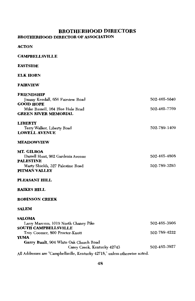### **BROTHERHOOD DIRECTORS BROTHERHOOD DIRECTOR OF ASSOCIATION**

**ACTON** 

**CAMPBELLSVILLE** 

### **EASTSIDE**

### **ELK HORN**

#### **FAIRVIEW**

| FRIENDSHIP                             |              |
|----------------------------------------|--------------|
| Jimmy Kendall, 656 Fairview Road       | 502-465-5640 |
| <b>GOOD HOPE</b>                       |              |
| Mike Russell, 164 Blue Hole Road       | 502-465-7769 |
| <b>GREEN RIVER MEMORIAL</b>            |              |
| <b>LIBERTY</b>                         |              |
| Terry Walker, Liberty Road             | 502-789-1409 |
| <b>LOWELL AVENUE</b>                   |              |
| <b>MEADOWVIEW</b>                      |              |
| MT. GILBOA                             |              |
| Darrell Hunt, 902 Gardenia Avenue      | 502-465-4808 |
| <b>PALESTINE</b>                       |              |
| Marty Shields, 327 Palestine Road      | 502-789-3293 |
| PITMAN VALLEY                          |              |
| PLEASANT HILL                          |              |
| <b>RAIKES HILL</b>                     |              |
| <b>ROBINSON CREEK</b>                  |              |
| <b>SALEM</b>                           |              |
| <b>SALOMA</b>                          |              |
| Larry Marcum, 1019 North Chaney Pike   | 502-465-3906 |
| <b>SOUTH CAMPBELLSVILLE</b>            |              |
| Troy Coomer, 800 Proctor-Knott         | 502-789-4222 |
| <b>YUMA</b>                            |              |
| Garry Bault, 904 White Oak Church Road |              |
| Casey Creek, Kentucky 42743            | 502-465-3927 |

All Addresses are "Campbellsville, Kentucky 42718," unless otherwise noted.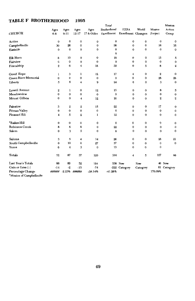#### **TABLE F BROTHERHOOD**

|                            |                  |                  |                  |              | Total                    |                         |              |              | Mission          |
|----------------------------|------------------|------------------|------------------|--------------|--------------------------|-------------------------|--------------|--------------|------------------|
|                            | Ages             | Ages             | Ages             | Ages         | Brotherhood              | <b>EZRA</b>             | World        | Mission      | Action           |
| <b>CHURCH</b>              | $6 - 8$          | $9 - 11$         | $12 - 17$        | 17 & Older   | Enrollment               | Enrollment Changers     |              | Project      | Group            |
| Action                     | $\bf{0}$         | $\bf{0}$         | $\bf{0}$         | 0            | $\bf{0}$                 | 0                       | $\bf{0}$     | $\mathbf 0$  | $\bf{0}$         |
| Campbellsville             | 30               | 26               | $\bf{0}$         | $\mathbf 0$  | 56                       | 0                       | $\bf{0}$     | 16           | 35               |
| Eastside                   | $\mathbf{0}$     | $\bf{0}$         | $\mathbf{0}$     | $\Omega$     | $\mathbf{0}$<br>$\Omega$ | $\bf{0}$                | $\bf{0}$     | $\bf{0}$     | $\bf{0}$         |
| <b>Elk Horn</b>            | 8                | 10               | $\bf{0}$         | $\bf{0}$     | 18                       | $\mathbf 0$             | $\mathbf 0$  | 15           | 5                |
| Fairview                   | $\bf{0}$         | $\mathbf 0$      | $\bf{0}$         | $\bf{0}$     | $\mathbf{o}$             | $\mathbf 0$             | $\mathbf 0$  | $\mathbf 0$  | $\pmb{0}$        |
| Friendship                 | $\mathbf 2$      | 6                | 4                | 18           | 30                       | $\bf{0}$                | 5            | 8            | $\mathbf{2}$     |
| Good Hope                  | 1                | 3                | ı                | 12           | 17                       | $\boldsymbol{4}$        | $\pmb{0}$    | $\bf 2$      | 0                |
| Green River Memorial       | 0                | 0                | $\mathbf{o}$     | $\mathbf{o}$ | $\mathbf{o}$             | 0                       | $\mathbf 0$  | 28           | ${\bf 28}$       |
| Liberty                    | 5                | 6                | $\boldsymbol{4}$ | 9            | 24                       | $\bf{0}$                | $\mathbf 0$  | 3            | 0                |
| <b>Lowell Avenue</b>       | $\boldsymbol{2}$ | ı                | 0                | 12           | 15                       | 0                       | $\mathbf 0$  | 8            | 5                |
| Meadowview                 | $\bf{0}$         | $\mathbf 0$      | 0                | $\mathbf 0$  | $\bf{0}$                 | 0                       | $\bf{0}$     | $\bf{0}$     | 0                |
| Mount Gilboa               | $\mathbf 0$      | $\mathbf 0$      | 4                | 12           | 16                       | $\mathbf 0$             | $\bf{0}$     | $\mathbf{2}$ | $\boldsymbol{2}$ |
| Palestine                  | 3                | $\boldsymbol{2}$ | $\mathbf 2$      | 15           | 22                       | $\bf{0}$                | $\bf{0}$     | 17           | 0                |
| Pitman Valley              | $\bf{0}$         | 0                | $\mathbf 0$      | 0            | $\Omega$                 | $\mathbf 0$             | $\bf{0}$     | $\bf{0}$     | 0                |
| Pleasant Hill              | 4                | 5                | $\mathbf 2$      | 1            | 12                       | $\mathbf 0$             | 0            | $\bf{0}$     | 0                |
| <b>*Raikes Hill</b>        | 0                | 0                | 0                | $\mathbf{o}$ | 0                        | $\mathbf 0$             | 0            | $\mathbf 0$  | $\bf{0}$         |
| <b>Robinson Creek</b>      | 8                | 6                | 8                | 0            | 22                       | 0                       | 0            | 0            | 0                |
| Salem                      | $\bf{0}$         | 3                | 5                | $\mathbf 0$  | 8                        | $\bf{0}$                | 0            | $\mathbf 0$  | $\bf{0}$         |
| Saloma                     | 3                | 5                | $\boldsymbol{4}$ | 14           | 26                       | $\bf{0}$                | $\pmb{0}$    | 28           | 21               |
| South Campbellsville       | $\mathbf 0$      | 10               | $\mathbf{0}$     | 27           | 37                       | $\bf{0}$                | $\mathbf{0}$ | $\bf{0}$     | $\bf{0}$         |
| Yuma                       | 6                | 4                | 3                | $\bf{0}$     | 13                       | $\bf{0}$                | $\bf{0}$     | $\bf{0}$     |                  |
| Totals                     | 72               | 87               | 37               | 120          | 316                      | $\overline{\mathbf{4}}$ | 5            | 127          | 98               |
| Last Year's Totals         | 86               | 89               | 52               | 194          |                          | 538 New                 | New          |              | 46 New           |
| Gain or Loss (-)           | $-14$            | $-2$             | $-15$            | $-74$        |                          | -222 Category           | Category     |              | 81 Category      |
| Percentage Change          | ######           | $-2.25%$         | ######           | $-38.14%$    | $-41.26%$                |                         |              | 176.09%      |                  |
| 'Mission of Campbellsville |                  |                  |                  |              |                          |                         |              |              |                  |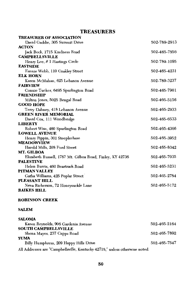### **TREASURERS**

| <b>TREASURER OF ASSOCIATION</b>                           |              |
|-----------------------------------------------------------|--------------|
| David Gaddie, 305 Summit Drive                            | 502-789-2913 |
| <b>ACTON</b>                                              |              |
| Jack Beck, 1715 Kindness Road                             | 502-465-7856 |
| <b>CAMPBELLSVILLE</b>                                     |              |
| Henry Lee, # 1 Hastings Circle                            | 502-789-1095 |
| <b>EASTSIDE</b>                                           |              |
| Fannie Webb, 110 Coakley Street                           | 502-465-4231 |
| <b>ELK HORN</b>                                           |              |
| Karen McMahan, 625 Lebanon Avenue                         | 502-789-3237 |
| <b>FAIRVIEW</b>                                           |              |
| Connie Tucker, 6495 Spurlington Road                      | 502-465-7901 |
| <b>FRIENDSHIP</b>                                         |              |
| Milton Jones, 5025 Bengal Road                            | 502-465-5156 |
| <b>GOOD HOPE</b>                                          |              |
| Terry Dabney, 418 Lebanon Avenue                          | 502-465-2933 |
| <b>GREEN RIVER MEMORIAL</b>                               |              |
| David Cox, 111 Woodbridge                                 | 502-465-6533 |
| <b>LIBERTY</b>                                            |              |
| Robert Wise, 460 Spurlington Road                         | 502-465-4366 |
| <b>LOWELL AVENUE</b>                                      |              |
| Henry Pippin, 301 Steeplechase                            | 502-465-3952 |
| <b>MEADOWVIEW</b>                                         |              |
| Harold Mills, 208 Ford Street                             | 502-465-8342 |
| MT. GILBOA                                                |              |
| Elizabeth Russell, 1787 Mt. Gilboa Road, Finley, KY 42736 | 502-465-7035 |
| <b>PALESTINE</b>                                          |              |
| Helen Burris, 460 Beartrack Road                          | 502-465-5231 |
| PITMAN VALLEY                                             |              |
| Gatha Williams, 425 Poplar Street                         | 502-465-2784 |
| PLEASANT HILL                                             |              |
| Neva Richerson, 72 Honeysuckle Lane                       | 502-465-5172 |
| <b>RAIKES HILL</b>                                        |              |

### **ROBINSON CREEK**

### **SALEM**

| <b>SALOMA</b> |  |
|---------------|--|
|               |  |

| Karen Reynolds, 906 Gardenia Avenue                                         | 502-465-2164 |
|-----------------------------------------------------------------------------|--------------|
| <b>SOUTH CAMPBELLSVILLE</b>                                                 |              |
| Shena Mayes, 237 Capps Road                                                 | 502-465-7892 |
| YUMA                                                                        |              |
| Billy Humphress, 209 Happy Hills Drive                                      | 502-465-7547 |
| All Addresses are "Campbellsville, Kentucky 42718," unless otherwise noted. |              |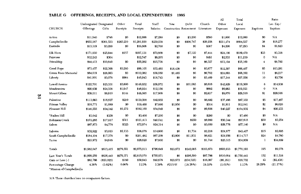|                            |                         |            |           |             |           |                         |             |            | All        | Total       |                     | Ratio      |
|----------------------------|-------------------------|------------|-----------|-------------|-----------|-------------------------|-------------|------------|------------|-------------|---------------------|------------|
|                            | Undesignated Designated |            | Other     | Total       | Staff     | New                     | Debt        | Church     | Other      | Local       |                     | Loc. Exp./ |
| CHURCH                     | Offerings               | Gifts      | Receipts  | Receipts    | Salaries  | Construction Retirement |             | Literature | Expenses   | Expenses    | Baptisms            | Baptism    |
| Action                     | \$11,940                | \$748      | \$0       | \$12,688    | \$7,280   | 80                      | \$3,200     | \$580      | \$1,000    | \$12,060    | \$0                 | N/A        |
| Campbellsville             | \$655,187               | \$361,533  | \$265,210 | \$1,281,930 | \$250,058 | \$0                     | \$206,747   | \$26,258   | \$211,474  | \$694,537   | 38                  | \$18,277   |
| Eastside                   | \$13,319                | \$3,289    | \$0       | \$16,608    | \$2,700   | 30                      | \$0         | \$387      | \$4,206    | \$7,293     | \$4                 | \$1,823    |
| Elk Hom                    | \$171,030               | \$25,944   | \$157     | \$197,131   | \$70,809  | \$0                     | \$7,120     | \$7,444    | \$24,106   | \$109,479   | \$33                | \$3,318    |
| Fairview                   | \$12,243                | \$304      |           | \$12,547    | \$8,205   | \$0                     | \$0         | \$481      | \$2,533    | \$11,219    | 0                   | N/A        |
| Friendship                 | \$44,413                | \$10,849   | \$0       | \$55,262    | \$15,738  | \$0                     | \$0         | \$6,327    | \$13,104   | \$35,169    | $\overline{\bf{4}}$ | \$8,792    |
| Cood Hope                  | \$73,457                | \$22,368   | \$3,280   | \$99,105    | \$33,495  | \$16,438                | \$0         | \$3,877    | \$12,597   | \$66,407    | \$5                 | \$13,281   |
| Green River Memorial       | \$84,019                | \$28,063   | \$0       | \$112,082   | \$36,050  | \$1,485                 | \$0         | \$6,762    | \$24,095   | \$68,392    | $_{11}$             | \$6,217    |
| Liberty                    | \$41,901                | \$3,078    | \$964     | \$45,943    | \$16,743  | \$0                     | \$0         | \$3,469    | \$17,344   | \$37,556    | 10                  | \$3,756    |
| Lowell Avenue              | \$122,701               | \$23,331   | \$3,600   | \$149,632   | \$58,972  | \$0                     | \$11,083    | \$6,616    | \$42,829   | \$119,500   | 8                   | \$14,938   |
| Meadowview                 | \$20,639                | \$24,338   | \$1,947   | \$46,924    | \$12,156  | \$0                     | \$0         | \$682      | \$6,683    | \$19,521    | $\mathbf{0}$        | N/A        |
| Mount Gilboa               | \$39,011                | \$8,910    | \$144     | \$48,065    | \$17,809  | \$0                     | \$0         | \$2,637    | \$9,070    | \$29,516    | \$1                 | \$29,516   |
| Palestine                  | \$113,663               | \$16,627   | \$210     | \$130,500   | \$42,955  | \$0                     | \$0         | \$6,892    | \$37,486   | \$87,333    | \$5                 | \$17,467   |
| Pitman Valley              | \$16,771                | \$1,689    | \$0       | \$18,460    | \$7,666   | \$1,950                 | \$0         | \$514      | \$1,911    | \$12,041    | \$2                 | \$6,020    |
| Pleasant Hill              | \$146,555               | \$34,342   | \$1,272   | \$182,169   | \$54,849  | \$0                     | \$0         | \$9,856    | \$40,227   | \$104,932   | \$4                 | \$26,233   |
| *Raikes Hill               | \$3,042                 | \$358      | \$0       | \$3,400     | \$7,200   | \$0                     | \$0         | \$280      | \$0        | \$7,480     | \$0                 | N/A        |
| Robinson Creek             | \$103,285               | \$17,817   | \$311     | \$121,413   | \$40,041  | \$0                     | \$250       | \$6,980    | \$50,344   | \$97,615    | \$30                | \$3,254    |
| Salem                      | \$67,873                | \$4,778    | \$323     | \$72,974    | \$24,314  | \$0                     | \$0         | \$3,050    | \$29,776   | \$57,140    | \$0                 | N/A        |
| Saloma                     | \$32,922                | \$3,023    | \$2,133   | \$38,078    | \$14,600  | \$0                     | \$1,734     | \$2,216    | \$24,877   | \$43,427    | \$15                | \$2,895    |
| South Campbellsville       | \$184,104               | \$17,378   | \$0       | \$201,482   | \$67,209  | \$3,800                 | \$11,931    | \$6,821    | \$24,956   | \$114,717   | \$24                | \$4,780    |
| Yuma                       | \$23,972                | \$4,648    | \$0       | \$28,620    | \$7,800   | \$0                     | \$0         | \$1,744    | \$25,315   | \$34,859    | 1                   | \$34,859   |
| Totals                     | \$1,982,047             | \$613,415  | \$279,551 | \$2,875,013 | \$796,649 | \$23,673                | \$242,065   | \$103,873  | \$603,933  | \$1,770,193 | 195                 | \$9,078    |
| Last Year's Totals         | \$1,899,259             | \$636,440  | \$279,371 | \$2,815,070 | \$755,971 | \$0                     | \$296,590   | \$87,786   | \$610.094  | \$1,750,441 | 152                 | \$11,516   |
| Gain or Loss (-)           | \$82,788                | (823,025)  | \$180     | \$59,943    | \$40,678  | \$23,673                | (\$54,525)  | \$16,087   | $(*6,161)$ | \$19,752    | 43                  | (\$2,438)  |
| Percentage Change          | 4.36%                   | $(3.62\%)$ | 0.06%     | 2.13%       | 5.38%     | #DIV/0!                 | $(18.38\%)$ | 18.33%     | $(1.01\%)$ | 1.13%       | 28.29%              | (21.17%)   |
| *Mission of Campbellsville |                         |            |           |             |           |                         |             |            |            |             |                     |            |

### TABLE G OFFERINGS, RECEIPTS, AND LOCAL EXPENDITURES 1995

N/A These churches have no comparison factors.

 $\mathbf{a}$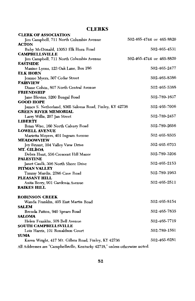### **CLERKS**

| 502-465-4744 or 465-8820                                                    |
|-----------------------------------------------------------------------------|
|                                                                             |
| 502-465-4531                                                                |
|                                                                             |
| 502-465-4744 or 465-8820                                                    |
|                                                                             |
| 502-465-2477                                                                |
|                                                                             |
| 502-465-8386                                                                |
|                                                                             |
| 502-465-5388                                                                |
|                                                                             |
| 502-789-1637                                                                |
|                                                                             |
| 502-465-7006<br>James S. Netherland, 8365 Saloma Road, Finley, KY 42736     |
|                                                                             |
| 502-789-2457                                                                |
|                                                                             |
| 502-789-2656                                                                |
|                                                                             |
| 502-465-8505                                                                |
|                                                                             |
| 502-465-6703                                                                |
|                                                                             |
| 502-789-3206                                                                |
|                                                                             |
| 502-465-2153                                                                |
|                                                                             |
| 502-789-1963                                                                |
|                                                                             |
| 502-465-2511                                                                |
|                                                                             |
|                                                                             |
|                                                                             |
| 502-465-8154                                                                |
|                                                                             |
| 502-465-7835                                                                |
|                                                                             |
| 502-465-7719                                                                |
|                                                                             |
| 502-789 1561                                                                |
|                                                                             |
| 502-465-6281                                                                |
| All Addresses are "Campbellsville, Kentucky 42718," unless otherwise noted. |
|                                                                             |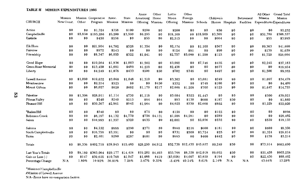#### TABLE H MISSION EXPENDITURES 1995

|                      |            |         |                     |                   |          | Annie             | Other   | Lottie    | Other                      |                  |            |                 |            | All Other                 | <b>Grand Total</b> |
|----------------------|------------|---------|---------------------|-------------------|----------|-------------------|---------|-----------|----------------------------|------------------|------------|-----------------|------------|---------------------------|--------------------|
|                      | Mission    |         | Mission Cooperative | Assoc.            | State    | Armstrong         | Home    | Moon      | Foreign                    |                  | Children's |                 | Retirement | Mission                   | Mission            |
| <b>CHURCH</b>        | New Const. | Other   | Program             | Missions Missions |          | Offering Missions |         | Offering  | Missions Schools           |                  |            | Homes Hospitals | Facilities | Expenditures Expenditures |                    |
| Action               | 80         | \$0     | \$1,324             | \$358             | \$100    | \$200             | \$0     | \$200     | \$0                        | \$0              | \$50       | \$0             | \$0        | \$0                       | \$2,232            |
| Campbellsville       | \$0        | \$5,850 | \$195,286           | \$5,200           | \$3,590  | \$6,295           | \$0     | \$18,169  |                            | \$0 \$18,969     | \$3,389    | \$0             | \$0        | \$51,789                  | \$308,537          |
| Eastside             | \$0        | \$0     | \$450               | \$256             | \$0      | \$55              | \$0     | \$2,515   | \$0                        | \$0              | \$664      | \$0             | \$0        | \$55                      | \$3,995            |
| Elk Horn             | $\$0$      | \$0     | \$21,904            | \$4,702           | \$526    | \$1,354           | \$0     | \$2,174   | 80                         | \$1,100          | \$567      | \$0             | \$0        | \$9,363                   | \$41,690           |
| Fairview             | \$0        | \$0     | \$972               | \$243             | \$0      | \$0               | \$0     | \$124     | \$91                       | \$0              | \$90       | \$0             | \$0        | \$139                     | \$1,659            |
| Friendship           | \$0        | \$0     | \$8,347             | \$6,055           | \$322    | \$1,041           | \$0     | \$2,757   | \$5,000                    | \$1,290          | \$123      | \$0             | \$0        | \$1,729                   | \$26,664           |
| Good Hope            | \$0        | \$0     | \$19,264            | \$1,836           | \$1,003  | \$1,562           | \$0     | \$3,092   | \$0                        | \$7,746          | \$435      | \$0             | \$0        | \$2,245                   | \$37,183           |
| Green River Memorial | \$0        | \$O     | \$13,450            | \$1,681           | \$489    | \$1,219           | \$0     | \$2,438   | \$0                        | \$0              | \$677      | \$0             | \$0        | \$0                       | \$19,954           |
| Liberty              | \$0        | \$0     | \$4,249             | \$1,078           | \$433    | \$500             | \$50    | \$702     | \$346                      | \$0              | \$497      | \$0             | $\$0$      | \$1,500                   | \$9,355            |
| Lowell Avenue        | \$0        | \$1,090 | \$19,632            | \$3,068           | \$1,048  | \$1.310           | \$0     | \$3,303   | \$0                        | \$3,681          | \$249      | 80              | \$0        | \$1,097                   | \$34,478           |
| Meadowview           | \$0        | \$0     | \$2,254             | \$525             | $\$0$    | \$0               | \$450   | \$332     | \$0                        | \$748            | \$100      | \$0             | \$0        | \$0                       | \$4,409            |
| Mount Gilboa         | \$0        | \$0     | \$6,027             | \$620             | \$402    | \$1,170           | \$217   | \$2,609   | \$1,208                    | \$700            | \$125      | \$0             | \$0        | \$1,647                   | \$14,725           |
| Palestine            | \$0        | \$1,396 | \$28,911            | \$1,114           | \$730    | \$1,118           | \$0     | \$3,684   | \$325                      | \$1,443          | \$0        | \$0             | \$0        | \$300                     | \$39,021           |
| Pitman Valley        | \$0        | \$0     | \$240               | \$240             | \$213    | \$64              | \$64    | \$93      | \$138                      | \$600            | \$187      | \$50            | \$0        | \$0                       | \$1,889            |
| Pleasant Hill        | \$0        | \$0     | \$39,567            | \$2,961           | \$942    | \$1.964           | $\$0$   | \$4,625   | \$330                      | \$2,600          | \$802      | \$0             | 80         | \$1,229                   | \$55,020           |
| <b>*Raikes Hill</b>  | \$0        | \$0     | \$340               | \$0               | \$0      | \$75              | \$0     | \$158     | \$0                        | \$0              | \$125      | \$0             | \$0        | \$0                       | \$698              |
| Robinson Creek       | \$0        | \$0     | \$6,197             | \$4,132           | \$4,770  | \$756             | \$4,131 | \$1,906   | \$4,281                    | \$0              | \$289      | \$0             | \$0        | \$0                       | \$26,462           |
| Salem                | \$0        | \$0     | \$10,993            | \$1,357           | \$320    | \$635             | \$0     | \$2,001   | \$0                        | \$2,036          | \$232      | \$0             | \$0        | \$559                     | \$18,133           |
| Saloma               | \$0        | \$0     | \$4,152             | \$888             | \$290    | \$371             | \$0     | \$860     | \$216                      | \$600            | \$181      | \$0             | \$0        | \$800                     | \$8,358            |
| South Campbellsville | \$0        | \$0     | \$16,759            | \$3,351           | \$0      | \$0               | \$0     | \$331     | \$500                      | \$3,724          | \$25       | \$0             | \$0        | \$1,324                   | \$26,014           |
| Yuma                 | \$0        | \$0     | \$2,401             | \$280             | \$287    | \$601             | \$0     | \$665     | \$0                        | \$400            | \$442      | \$0             | \$0        | \$138                     | \$5,214            |
| Totals               | \$0        | \$8,336 | \$402,719           | \$39,945 \$15,465 |          | \$20,290 \$4.912  |         |           | \$52,738 \$12,435 \$45,637 |                  | \$9,249    | \$50            | \$0        | \$73,914                  | \$685,690          |
| Last Year's Totals   | $\$0$      | \$8,189 | \$363,064           | \$29,177          | \$14,418 | \$19,202          | \$4,493 | \$55,766  |                            | \$8,338 \$42,018 | \$9,055    | \$50            | \$0        | \$51,458                  | \$605,228          |
| Gain or Loss (-)     | \$0        | \$147   | \$39,655            | \$10,768          | \$1,047  | \$1,088           | \$419   | (\$3,028) | \$4,097                    | \$3,619          | \$194      | \$0             | $\$0$      | \$22,456                  | \$80,462           |
| Percentage Change    | N/A        | 1.80%   | 10.92%              | 36.91%            | 7.26%    | 5.67%             | 9.33%   | $-5.43%$  | 49.14%                     | 8.61%            | 2.14%      | N/A             | N/A        | 43.64%                    | 13.29%             |

\*Mission of Campbellsville<br>#Mission of Lowell Avenue

N/A--Zeros have no comparison factors.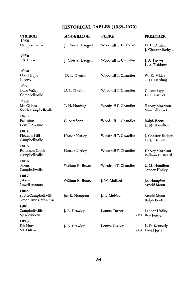### HISTORICAL TABLES (1958-1970)

| <b>CHURCH</b><br>1958                                | <b>MODERATOR</b>   | <b>CLERK</b>         | <b>PREACHER</b>                          |
|------------------------------------------------------|--------------------|----------------------|------------------------------------------|
| Campbellsville                                       | J. Chester Badgett | Woodruff T. Chandler | D. L. Druien<br>J. Chester Badgett       |
| 1959<br>Elk Horn                                     | J. Chester Badgett | Woodruff T. Chandler | J. A. Parker<br>L. A. Fishburn           |
| 1960<br>Good Hope<br>Liberty                         | D. L. Druien       | WoodruffT. Chandler  | W. E. Miller<br>T. H. Harding            |
| 1961<br>Lone Valley<br>Campbellsville                | D. L. Druien       | WoodruffT. Chandler  | Gilbert Sapp<br>H. T. Parrott            |
| 1962<br>Mt. Gilboa<br>South Campbellsville           | T. H. Harding      | WoodruffT. Chandler  | Harvey Morrison<br><b>Marshall Black</b> |
| 1963<br>Palestine<br>Lowell Avenue                   | Gilbert Sapp       | WoodruffT. Chandler  | Ralph Boots<br>L. M. Hamilton            |
| 1964<br>Pleasant Hill<br>Campbellsville              | Homer Kirtley      | WoodruffT. Chandler  | J. Chester Badgett<br>D. L. Druien       |
| 1965<br>Robinson Creek<br>Campbellsville             | Homer Kirtley      | WoodruffT. Chandler  | Harvey Morrison<br>William R. Beard      |
| 1966<br>Salem<br>Campbellsville                      | William R. Beard   | Woodruff T. Chandler | L. M. Hamilton<br>Landon Hadley          |
| 1967<br>Saloma<br>Lowell Avenue                      | William R. Beard   | J. W. Mallard        | Joe Hampton<br>Arnold Moon               |
| 1968<br>South Campbellsville<br>Green River Memorial | Joe R. Hampton     | J. L. McNeal         | Arnold Moon<br>Ralph Boots               |
| 1969<br>Campbellsville<br>Meadowview                 | J. B. Crawley      | Lonnie Turner        | Landon Hadley<br>(M) Roy Fowler          |
| 1970<br>Elk Horn<br>Mt. Gilboa                       | J. B. Crawley      | Lonnie Turner        | L. D. Kennedy<br>(M) David Jester        |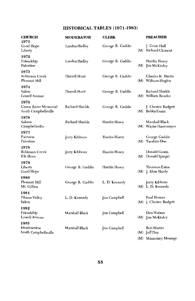### HISTORICAL TABLES (1971-1983)

| <b>CHURCH</b><br>1971                                | <b>MODERATOR</b>       | <b>CLERK</b>     | <b>PREACHER</b>                         |
|------------------------------------------------------|------------------------|------------------|-----------------------------------------|
| Good Hope<br>Liberty                                 | Landon Hadley          | George R. Gaddie | J. Gene Hall<br>(M) Richard Clement     |
| 1972<br>Friendship<br>Palestine                      | Landon Hadley          | George R. Gaddie | Hardin Hosey<br>$(M)$ [im McKinley      |
| 1973<br>Robinson Creek<br>Pleasant Hill              | Darrell Hunt           | George R. Gaddie | Charles R. Harris<br>(M) Wilburn Hoglen |
| 1974<br>Salem<br>Lowell Avenue                       | Darrell Hunt           | George R. Gaddie | Richard Shields<br>(M) William Bender   |
| 1975<br>Green River Memorial<br>South Campbellsville | <b>Richard Shields</b> | George R. Gaddie | J. Chester Badgett<br>(M) Bobby Evans   |
| 1976<br>Saloma<br>Campbellsville                     | Richard Shields        | Hardin Hosey     | Marshall Black<br>(M) Wayne Hassenmyer  |
| 1977<br>Fairview<br>Palestine                        | Jerry Kibbons          | Hardin Hosey     | George Gaddie<br>(M) Tacahiro Oue       |
| 1978<br>Robinson Creek<br>Elk Horn                   | Jerry Kibbons          | Hardin Hosey     | Donald Gowin<br>(M) Donald Spiegel      |
| 1979<br>Liberty<br>Good Hope                         | George R. Gaddie       | Hardin Hosey     | Thurmon Eaton<br>(M) J. Alvin Hardy     |
| 1980<br>Pleasant Hill<br>Mt. Gilboa                  | George R. Gaddie       | L. D. Kennedy    | Jerry Kibbons<br>(M) L. D. Kennedy      |
| 1981<br>Pitman Valley<br>Salem                       | L. D. Kennedy          | Jim Campbell     | Paul Horner<br>(M) J. Chester Badgett   |
| 1982<br>Friendship<br>Lowell Avenue                  | Marshall Black         | Im Campbell      | Don Watson<br>$(M)$ $\lim$ McKinley     |
| 1983<br>Meadowview<br>South Campbellsville           | Marshall Black         | Jim Campbell     | Bob Martin<br>$(M)$ [eff Day            |
|                                                      |                        |                  | (M) Missionary Message                  |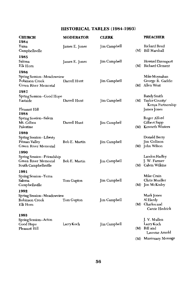### **HISTORICAL TABLES (1984-1993)**

| <b>CHURCH</b><br>1984                                                              | <b>MODERATOR</b> | CLERK               |     | <b>PREACHER</b>                                                       |
|------------------------------------------------------------------------------------|------------------|---------------------|-----|-----------------------------------------------------------------------|
| Yuma<br>Campbellsville                                                             | James E. Jones   | Jim Campbell        | (M) | Richard Reed<br><b>Bill Marshall</b>                                  |
| 1985<br>Saloma<br>Elk Horn                                                         | James E. Jones   | Jim Campbell        | (M) | Howard Davenport<br>Richard Clement                                   |
| 1986<br>Spring Session--Meadowview<br>Robinson Creek<br>Green River Memorial       | Darrell Hunt     | <b>Jim Campbell</b> | (M) | Mike Moynahan<br>George R. Gaddie<br>Allen West                       |
| 1987<br>Spring Session--Good Hope<br>Eastside<br>Pleasant Hill                     | Darrell Hunt     | Jim Campbell        |     | Randy Smith<br>(M) Taylor County/<br>Kenya Partnership                |
| 1988<br>Spring Session--Salem<br>Mt. Gilboa<br>Palestine                           | Darrell Hunt     | Jim Campbell        | (M) | James Jones<br>Roger Alford<br>Gilbert Sapp<br><b>Kenneth Winters</b> |
| 1989<br>Spring Session--Liberty<br>Pitman Valley<br>Green River Memorial           | Bob E. Martin    | Jim Campbell        |     | Donald Berry<br>Jim Collison<br>(M) John Wilson                       |
| 1990<br>Spring Session--Friendship<br>Green River Memorial<br>South Campbellsville | Bob E. Martin    | Jim Campbell        | (M) | Landon Hadley<br>J. W. Farmer<br>Calvin Wilkins                       |
| 1991<br>Spring Session -- Yuma<br>Saloma<br>Campbellsville                         | Tom Gupton       | Jim Campbell        | (M) | Mike Crain<br>Chris Mueller<br>Jim McKinley                           |
| 1992<br>Spring Session--Meadowview<br>Robinson Creek<br>Elk Horn                   | Tom Gupton       | Jim Campbell        | (M) | Mark Jones<br>Al Hardy<br>Charles and<br>Carrie Hedrick               |
| 1993<br>Spring Session--Acton<br>Good Hope<br>Pleasant Hill                        | Larry Koch       | Jim Campbell        |     | J. V. Mullen<br>Larry Koch<br>$(M)$ Bill and<br>Laverne Arnold        |
|                                                                                    |                  |                     |     | (M) Missionary Message                                                |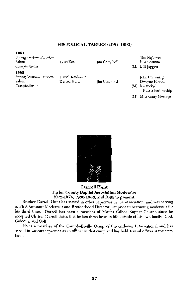### HISTORICAL TABLES (1984-1993)

### 1994

Spring Session--Fairview Salem Campbellsville

Larry Koch

**Jim Campbell** 

Tim Najpaver Brian Fannin

(M) Bill Jaggers

#### 1995

Spring Session--Fairview Salem Campbellsville

David Henderson Darrell Hunt

**Jim Campbell** 

John Chowning Dwayne Howell (M) Kentucky/

Russia Partnership

(M) Missionary Message



### **Darrell Hunt Taylor County Baptist Association Moderator** 1972-1974, 1986-1988, and 1995 to present.

Brother Darrell Hunt has served in other capacities in the association, and was serving as First Assistant Moderator and Brotherhood Director just prior to becoming moderator for his third time. Darrell has been a member of Mount Gilboa Baptist Church since he accepted Christ. Darrell states that he has three loves in life outside of his own family--God, Gideons, and Golf.

He is a member of the Campbellsville Camp of the Gideons International and has served in various capacities as an officer in that camp and has held several offices at the state level.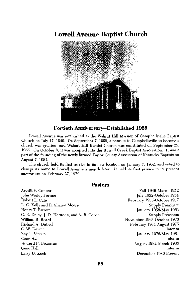### **Lowell Avenue Baptist Church**



### Fortieth Anniversary--Established 1955

Lowell Avenue was established as the Walnut Hill Mission of Campbellsville Baptist Church on July 17, 1949. On September 7, 1955, a petition to Campbellsville to become a church was granted, and Walnut Hill Baptist Church was constituted on September 25, 1955. On October 9, it was accepted into the Russell Creek Baptist Association. It was a part of the founding of the newly formed Taylor County Association of Kentucky Baptists on August 7, 1957.

The church held its first service in its new location on January 7, 1962, and voted to change its name to Lowell Avenue a month later. It held its first service in its present auditorium on February 27, 1972.

### Pastors

Averitt F. Conner John Wesley Farmer Robert L. Cate L. C. Kelly and R. Sharon Moore Henry T. Parrott C. R. Daley, J. D. Herndon, and A. B. Colvin William R. Beard Richard A. DeBell C. W. Devine Ray T. Vinson Gene Hall Howard F. Beauman Gene Hall Larry D. Koch

Fall 1949-March 1952 July 1952-October 1954 February 1955-October 1957 **Supply Preachers** January 1958-May 1963 Supply Preachers November 1963-October 1973 February 1974-August 1975 Interim January 1976-May 1981 Interim August 1982-March 1986 Interim December 1986-Present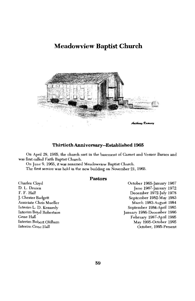### **Meadowview Baptist Church**



#### Thirtieth Anniversary--Established 1965

On April 28, 1965, the church met in the basement of Garnet and Verner Barnes and was first called Faith Baptist Church.

On June 9, 1965, it was renamed Meadowview Baptist Church. The first service was held in the new building on November 21, 1965.

#### **Pastors**

Charles Cloyd D. L. Druien F. F. Hall J. Chester Badgett Associate Chris Mueller Interim L. D. Kennedy Interim Boyd Robertson Gene Hall Interim Robert Oldham Interim Gene Hall

October 1965-January 1967 June 1967-January 1972 December 1972-July 1978 September 1982-May 1983 March 1983-August 1984 September 1984-April 1985 January 1986-December 1986 February 1987-April 1995 May 1995-October 1995 October, 1995-Present